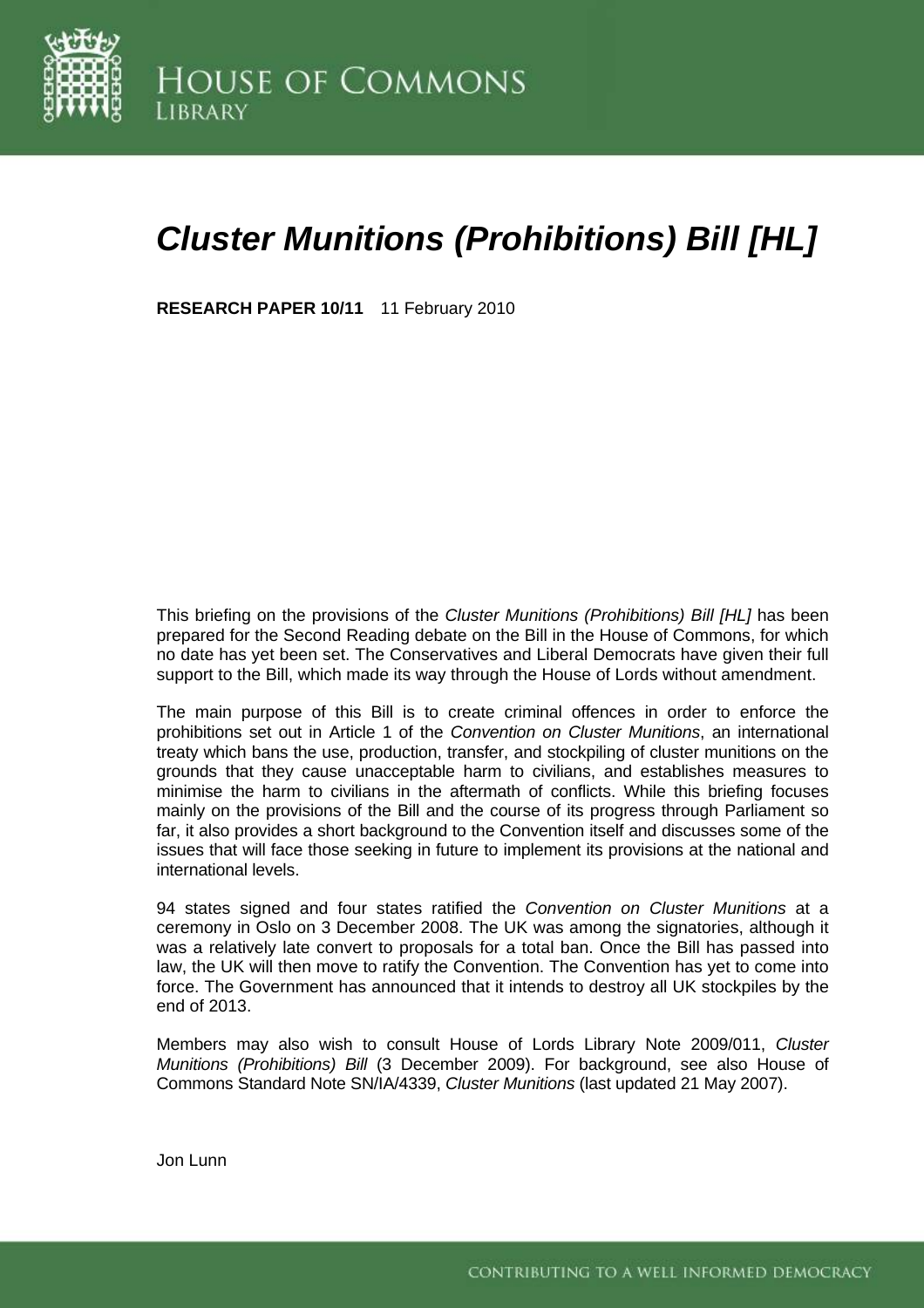

# *Cluster Munitions (Prohibitions) Bill [HL]*

**RESEARCH PAPER 10/11** 11 February 2010

This briefing on the provisions of the *Cluster Munitions (Prohibitions) Bill [HL]* has been prepared for the Second Reading debate on the Bill in the House of Commons, for which no date has yet been set. The Conservatives and Liberal Democrats have given their full support to the Bill, which made its way through the House of Lords without amendment.

The main purpose of this Bill is to create criminal offences in order to enforce the prohibitions set out in Article 1 of the *Convention on Cluster Munitions*, an international treaty which bans the use, production, transfer, and stockpiling of cluster munitions on the grounds that they cause unacceptable harm to civilians, and establishes measures to minimise the harm to civilians in the aftermath of conflicts. While this briefing focuses mainly on the provisions of the Bill and the course of its progress through Parliament so far, it also provides a short background to the Convention itself and discusses some of the issues that will face those seeking in future to implement its provisions at the national and international levels.

94 states signed and four states ratified the *Convention on Cluster Munitions* at a ceremony in Oslo on 3 December 2008. The UK was among the signatories, although it was a relatively late convert to proposals for a total ban. Once the Bill has passed into law, the UK will then move to ratify the Convention. The Convention has yet to come into force. The Government has announced that it intends to destroy all UK stockpiles by the end of 2013.

Members may also wish to consult House of Lords Library Note 2009/011, *[Cluster](http://intranet.parliament.uk/intranet/lords-library/assets/2009ClusterMunitions.pdf)  [Munitions \(Prohibitions\) Bill](http://intranet.parliament.uk/intranet/lords-library/assets/2009ClusterMunitions.pdf)* (3 December 2009). For background, see also House of Commons Standard Note SN/IA/4339, *[Cluster Munitions](http://10.160.3.10:81/PIMS/Static%20Files/Extended%20File%20Scan%20Files/LIBRARY_OTHER_PAPERS/STANDARD_NOTE/snia-04339.pdf)* (last updated 21 May 2007).

Jon Lunn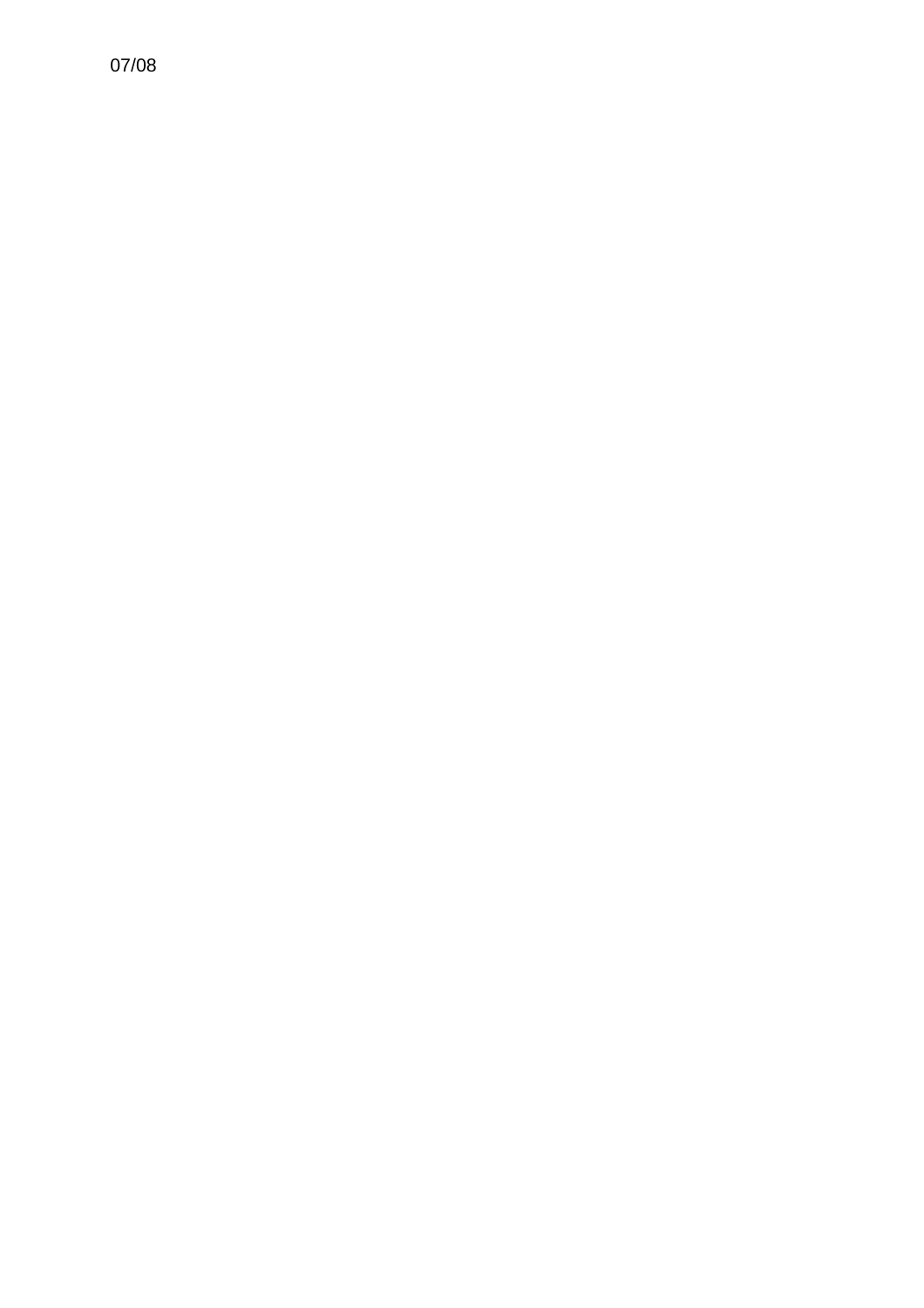07/08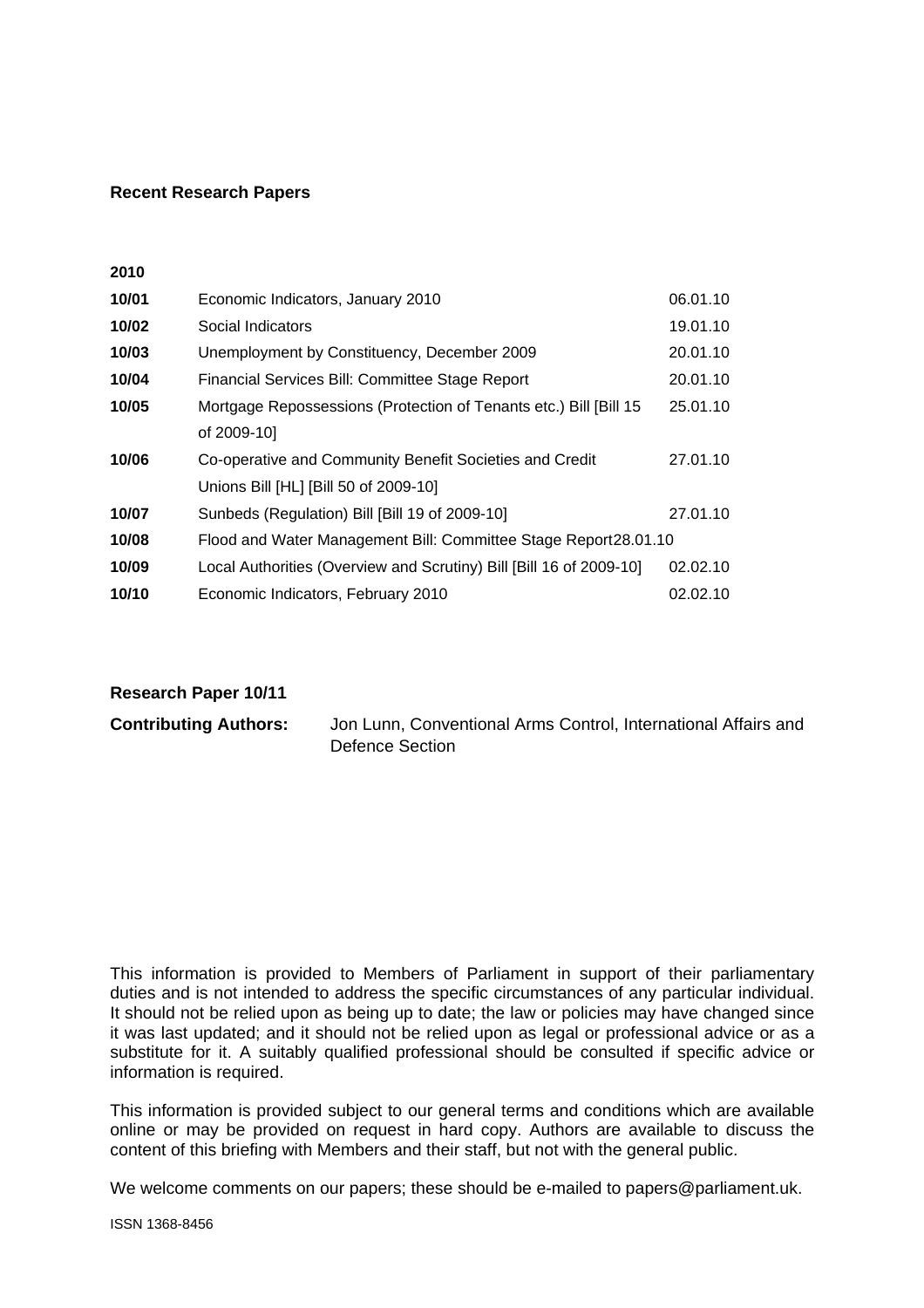#### **Recent Research Papers**

**2010** 

| 10/01 | Economic Indicators, January 2010                                   | 06.01.10 |
|-------|---------------------------------------------------------------------|----------|
| 10/02 | Social Indicators                                                   | 19.01.10 |
| 10/03 | Unemployment by Constituency, December 2009                         | 20.01.10 |
| 10/04 | Financial Services Bill: Committee Stage Report                     | 20.01.10 |
| 10/05 | Mortgage Repossessions (Protection of Tenants etc.) Bill [Bill 15   | 25.01.10 |
|       | of 2009-10]                                                         |          |
| 10/06 | Co-operative and Community Benefit Societies and Credit             | 27.01.10 |
|       | Unions Bill [HL] [Bill 50 of 2009-10]                               |          |
| 10/07 | Sunbeds (Regulation) Bill [Bill 19 of 2009-10]                      | 27.01.10 |
| 10/08 | Flood and Water Management Bill: Committee Stage Report28.01.10     |          |
| 10/09 | Local Authorities (Overview and Scrutiny) Bill [Bill 16 of 2009-10] | 02.02.10 |
| 10/10 | Economic Indicators, February 2010                                  | 02.02.10 |

#### **Research Paper 10/11**

| <b>Contributing Authors:</b> | Jon Lunn, Conventional Arms Control, International Affairs and |
|------------------------------|----------------------------------------------------------------|
|                              | Defence Section                                                |

This information is provided to Members of Parliament in support of their parliamentary duties and is not intended to address the specific circumstances of any particular individual. It should not be relied upon as being up to date; the law or policies may have changed since it was last updated; and it should not be relied upon as legal or professional advice or as a substitute for it. A suitably qualified professional should be consulted if specific advice or information is required.

This information is provided subject to [our general terms and conditions](http://www.parliament.uk/site_information/parliamentary_copyright.cfm) which are available online or may be provided on request in hard copy. Authors are available to discuss the content of this briefing with Members and their staff, but not with the general public.

We welcome comments on our papers; these should be e-mailed to [papers@parliament.uk.](mailto:papers@parliament.uk)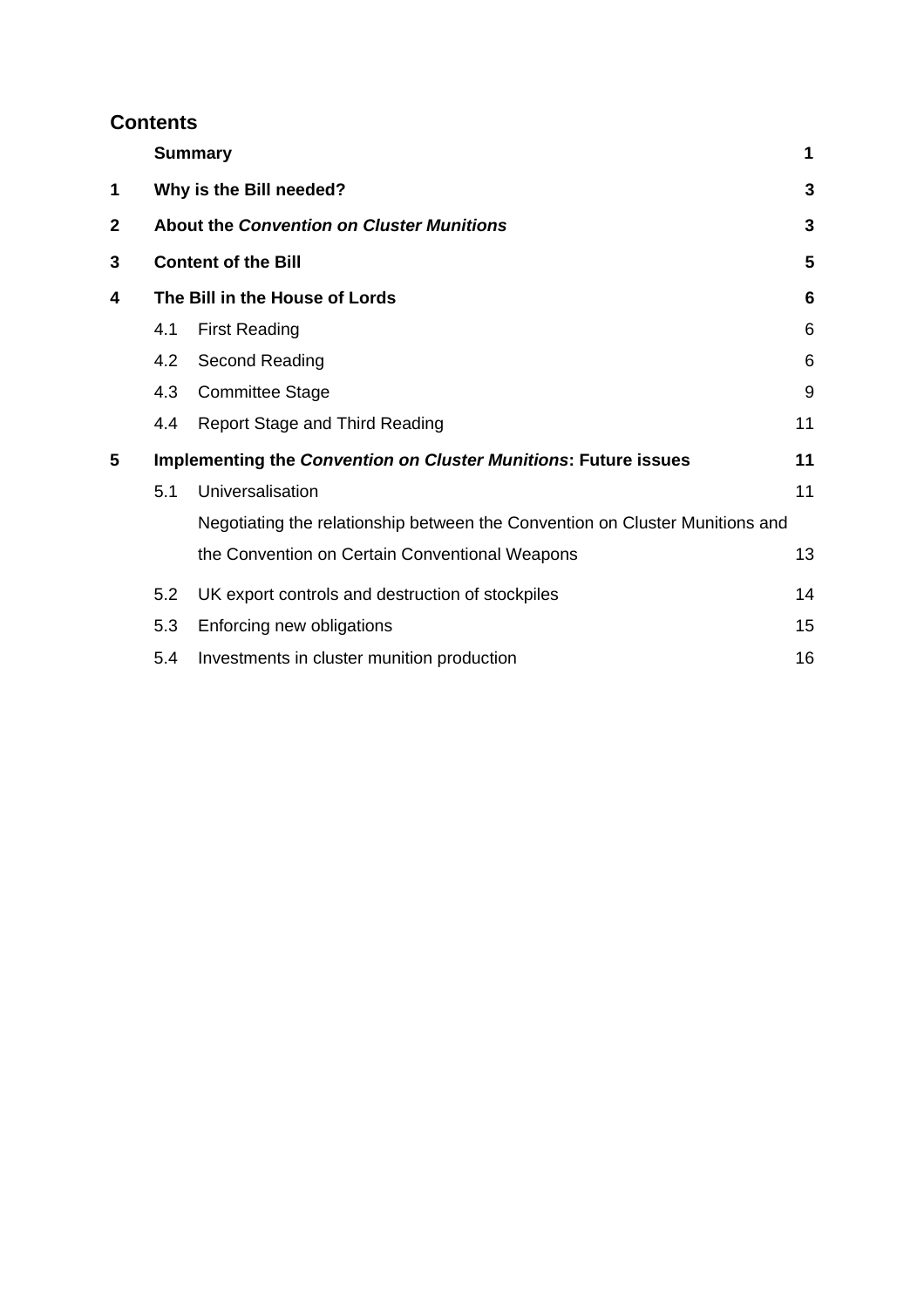# **Contents**

|              |                         | <b>Summary</b>                                                               | 1  |
|--------------|-------------------------|------------------------------------------------------------------------------|----|
| 1            | Why is the Bill needed? |                                                                              |    |
| $\mathbf{2}$ |                         | <b>About the Convention on Cluster Munitions</b>                             | 3  |
| 3            |                         | <b>Content of the Bill</b>                                                   | 5  |
| 4            |                         | The Bill in the House of Lords                                               |    |
|              | 4.1                     | <b>First Reading</b>                                                         | 6  |
|              | 4.2                     | Second Reading                                                               | 6  |
|              | 4.3                     | <b>Committee Stage</b>                                                       | 9  |
|              | 4.4                     | <b>Report Stage and Third Reading</b>                                        | 11 |
| 5            |                         | <b>Implementing the Convention on Cluster Munitions: Future issues</b>       | 11 |
|              | 5.1                     | Universalisation                                                             | 11 |
|              |                         | Negotiating the relationship between the Convention on Cluster Munitions and |    |
|              |                         | the Convention on Certain Conventional Weapons                               | 13 |
|              | 5.2                     | UK export controls and destruction of stockpiles                             | 14 |
|              | 5.3                     | Enforcing new obligations                                                    | 15 |
|              | 5.4                     | Investments in cluster munition production                                   | 16 |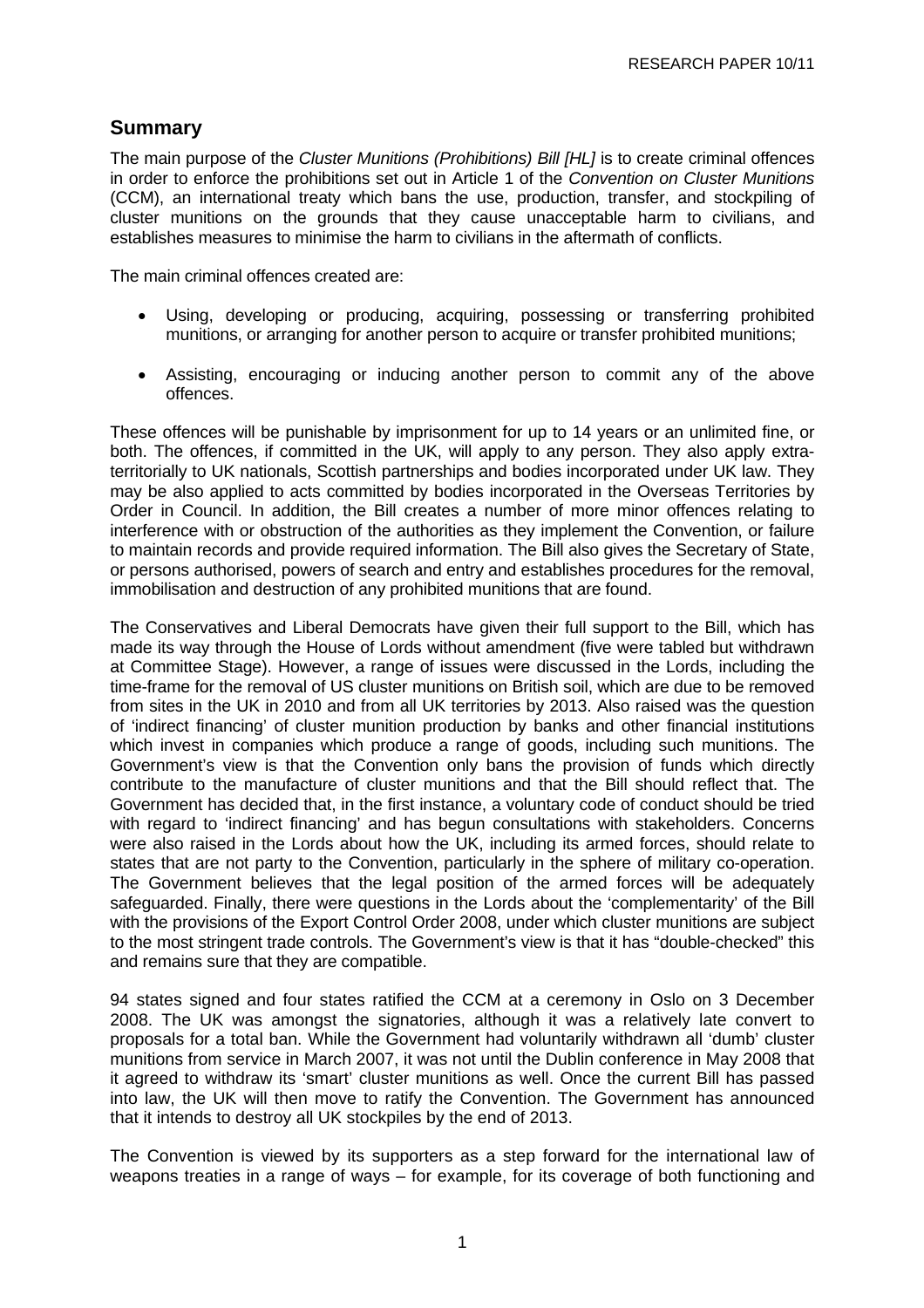# <span id="page-6-0"></span>**Summary**

The main purpose of the *Cluster Munitions (Prohibitions) Bill [HL]* is to create criminal offences in order to enforce the prohibitions set out in Article 1 of the *Convention on Cluster Munitions* (CCM), an international treaty which bans the use, production, transfer, and stockpiling of cluster munitions on the grounds that they cause unacceptable harm to civilians, and establishes measures to minimise the harm to civilians in the aftermath of conflicts.

The main criminal offences created are:

- Using, developing or producing, acquiring, possessing or transferring prohibited munitions, or arranging for another person to acquire or transfer prohibited munitions;
- Assisting, encouraging or inducing another person to commit any of the above offences.

These offences will be punishable by imprisonment for up to 14 years or an unlimited fine, or both. The offences, if committed in the UK, will apply to any person. They also apply extraterritorially to UK nationals, Scottish partnerships and bodies incorporated under UK law. They may be also applied to acts committed by bodies incorporated in the Overseas Territories by Order in Council. In addition, the Bill creates a number of more minor offences relating to interference with or obstruction of the authorities as they implement the Convention, or failure to maintain records and provide required information. The Bill also gives the Secretary of State, or persons authorised, powers of search and entry and establishes procedures for the removal, immobilisation and destruction of any prohibited munitions that are found.

The Conservatives and Liberal Democrats have given their full support to the Bill, which has made its way through the House of Lords without amendment (five were tabled but withdrawn at Committee Stage). However, a range of issues were discussed in the Lords, including the time-frame for the removal of US cluster munitions on British soil, which are due to be removed from sites in the UK in 2010 and from all UK territories by 2013. Also raised was the question of 'indirect financing' of cluster munition production by banks and other financial institutions which invest in companies which produce a range of goods, including such munitions. The Government's view is that the Convention only bans the provision of funds which directly contribute to the manufacture of cluster munitions and that the Bill should reflect that. The Government has decided that, in the first instance, a voluntary code of conduct should be tried with regard to 'indirect financing' and has begun consultations with stakeholders. Concerns were also raised in the Lords about how the UK, including its armed forces, should relate to states that are not party to the Convention, particularly in the sphere of military co-operation. The Government believes that the legal position of the armed forces will be adequately safeguarded. Finally, there were questions in the Lords about the 'complementarity' of the Bill with the provisions of the Export Control Order 2008, under which cluster munitions are subject to the most stringent trade controls. The Government's view is that it has "double-checked" this and remains sure that they are compatible.

94 states signed and four states ratified the CCM at a ceremony in Oslo on 3 December 2008. The UK was amongst the signatories, although it was a relatively late convert to proposals for a total ban. While the Government had voluntarily withdrawn all 'dumb' cluster munitions from service in March 2007, it was not until the Dublin conference in May 2008 that it agreed to withdraw its 'smart' cluster munitions as well. Once the current Bill has passed into law, the UK will then move to ratify the Convention. The Government has announced that it intends to destroy all UK stockpiles by the end of 2013.

The Convention is viewed by its supporters as a step forward for the international law of weapons treaties in a range of ways – for example, for its coverage of both functioning and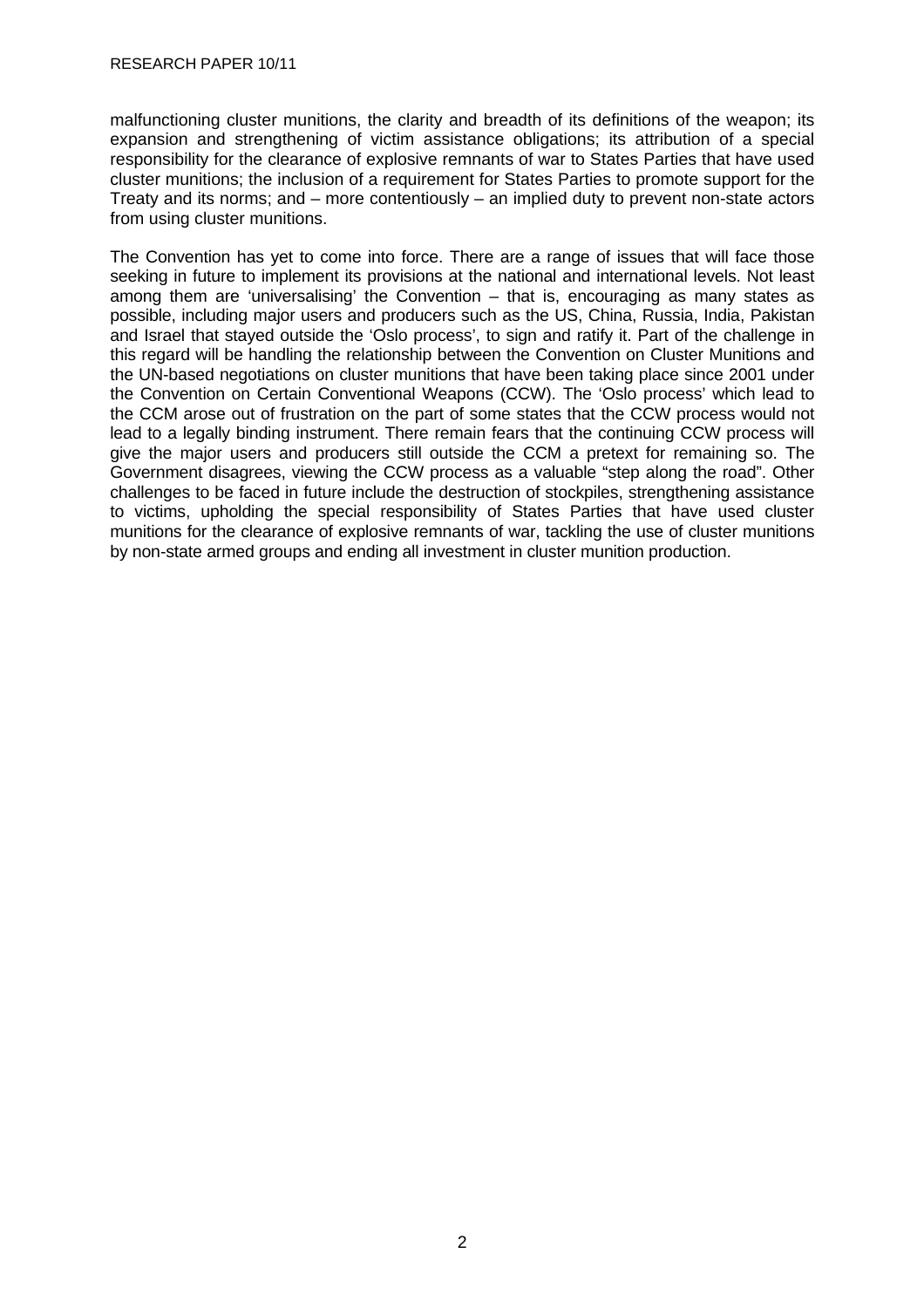malfunctioning cluster munitions, the clarity and breadth of its definitions of the weapon; its expansion and strengthening of victim assistance obligations; its attribution of a special responsibility for the clearance of explosive remnants of war to States Parties that have used cluster munitions; the inclusion of a requirement for States Parties to promote support for the Treaty and its norms; and – more contentiously – an implied duty to prevent non-state actors from using cluster munitions.

The Convention has yet to come into force. There are a range of issues that will face those seeking in future to implement its provisions at the national and international levels. Not least among them are 'universalising' the Convention – that is, encouraging as many states as possible, including major users and producers such as the US, China, Russia, India, Pakistan and Israel that stayed outside the 'Oslo process', to sign and ratify it. Part of the challenge in this regard will be handling the relationship between the Convention on Cluster Munitions and the UN-based negotiations on cluster munitions that have been taking place since 2001 under the Convention on Certain Conventional Weapons (CCW). The 'Oslo process' which lead to the CCM arose out of frustration on the part of some states that the CCW process would not lead to a legally binding instrument. There remain fears that the continuing CCW process will give the major users and producers still outside the CCM a pretext for remaining so. The Government disagrees, viewing the CCW process as a valuable "step along the road". Other challenges to be faced in future include the destruction of stockpiles, strengthening assistance to victims, upholding the special responsibility of States Parties that have used cluster munitions for the clearance of explosive remnants of war, tackling the use of cluster munitions by non-state armed groups and ending all investment in cluster munition production.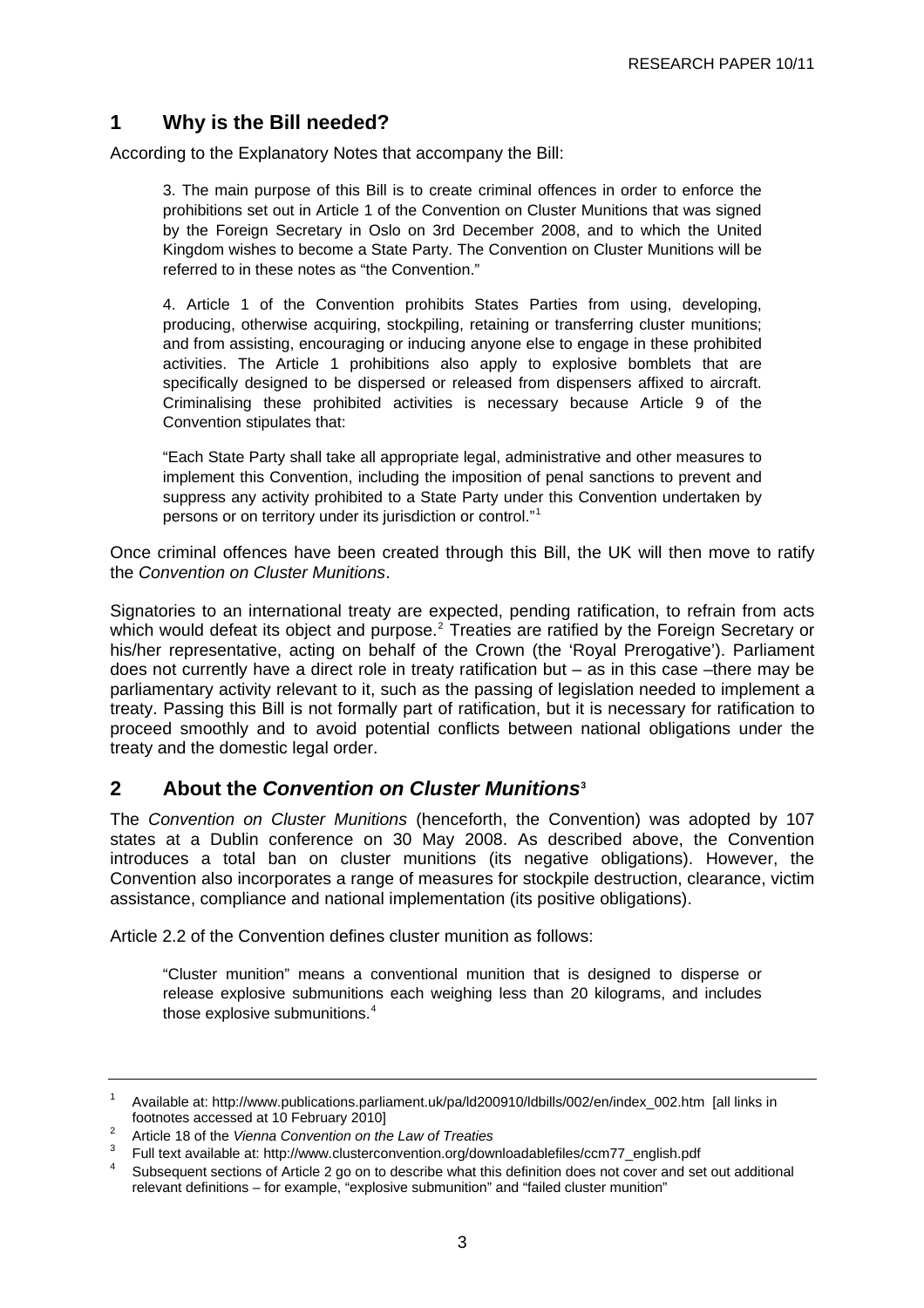# <span id="page-8-0"></span>**1 Why is the Bill needed?**

According to the Explanatory Notes that accompany the Bill:

3. The main purpose of this Bill is to create criminal offences in order to enforce the prohibitions set out in Article 1 of the Convention on Cluster Munitions that was signed by the Foreign Secretary in Oslo on 3rd December 2008, and to which the United Kingdom wishes to become a State Party. The Convention on Cluster Munitions will be referred to in these notes as "the Convention."

4. Article 1 of the Convention prohibits States Parties from using, developing, producing, otherwise acquiring, stockpiling, retaining or transferring cluster munitions; and from assisting, encouraging or inducing anyone else to engage in these prohibited activities. The Article 1 prohibitions also apply to explosive bomblets that are specifically designed to be dispersed or released from dispensers affixed to aircraft. Criminalising these prohibited activities is necessary because Article 9 of the Convention stipulates that:

"Each State Party shall take all appropriate legal, administrative and other measures to implement this Convention, including the imposition of penal sanctions to prevent and suppress any activity prohibited to a State Party under this Convention undertaken by persons or on territory under its jurisdiction or control."[1](#page-8-0)

Once criminal offences have been created through this Bill, the UK will then move to ratify the *Convention on Cluster Munitions*.

Signatories to an international treaty are expected, pending ratification, to refrain from acts which would defeat its object and purpose.<sup>[2](#page-8-0)</sup> Treaties are ratified by the Foreign Secretary or his/her representative, acting on behalf of the Crown (the 'Royal Prerogative'). Parliament does not currently have a direct role in treaty ratification but – as in this case –there may be parliamentary activity relevant to it, such as the passing of legislation needed to implement a treaty. Passing this Bill is not formally part of ratification, but it is necessary for ratification to proceed smoothly and to avoid potential conflicts between national obligations under the treaty and the domestic legal order.

## **2 About the** *Convention on Cluster Munitions***[3](#page-8-0)**

The *Convention on Cluster Munitions* (henceforth, the Convention) was adopted by 107 states at a Dublin conference on 30 May 2008. As described above, the Convention introduces a total ban on cluster munitions (its negative obligations). However, the Convention also incorporates a range of measures for stockpile destruction, clearance, victim assistance, compliance and national implementation (its positive obligations).

Article 2.2 of the Convention defines cluster munition as follows:

"Cluster munition" means a conventional munition that is designed to disperse or release explosive submunitions each weighing less than 20 kilograms, and includes those explosive submunitions.<sup>[4](#page-8-0)</sup>

<sup>1</sup> Available at: [http://www.publications.parliament.uk/pa/ld200910/ldbills/002/en/index\\_002.htm](http://www.publications.parliament.uk/pa/ld200910/ldbills/002/en/index_002.htm) [all links in footnotes accessed at 10 February 20101

Article 18 of the *Vienna Convention on the Law of Treaties*

<sup>3</sup> <sup>3</sup> Full text available at: [http://www.clusterconvention.org/downloadablefiles/ccm77\\_english.pdf](http://www.clusterconvention.org/downloadablefiles/ccm77_english.pdf)

Subsequent sections of Article 2 go on to describe what this definition does not cover and set out additional relevant definitions – for example, "explosive submunition" and "failed cluster munition"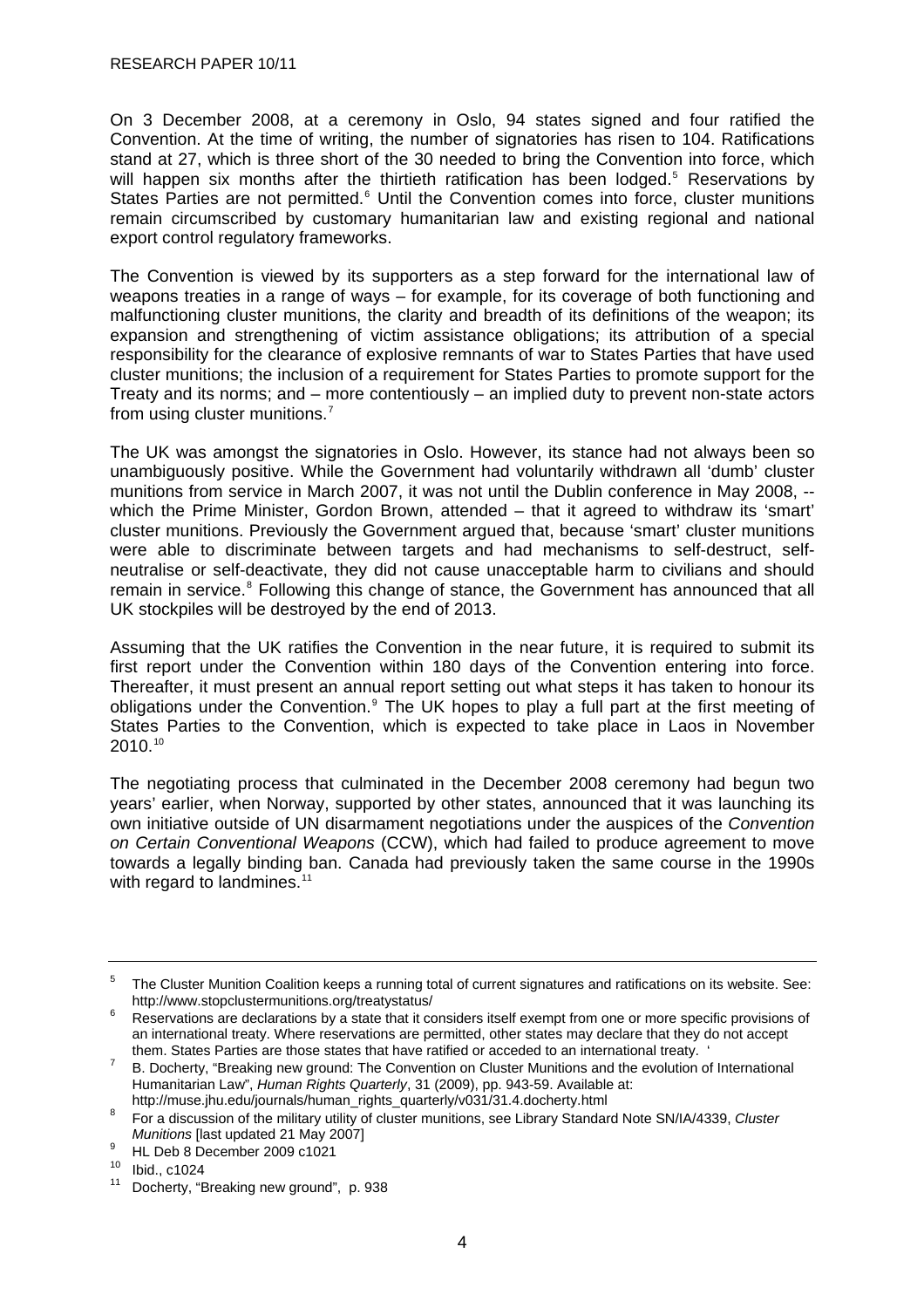<span id="page-9-0"></span>On 3 December 2008, at a ceremony in Oslo, 94 states signed and four ratified the Convention. At the time of writing, the number of signatories has risen to 104. Ratifications stand at 27, which is three short of the 30 needed to bring the Convention into force, which will happen six months after the thirtieth ratification has been lodged.<sup>[5](#page-9-0)</sup> Reservations by States Parties are not permitted.<sup>[6](#page-9-0)</sup> Until the Convention comes into force, cluster munitions remain circumscribed by customary humanitarian law and existing regional and national export control regulatory frameworks.

The Convention is viewed by its supporters as a step forward for the international law of weapons treaties in a range of ways – for example, for its coverage of both functioning and malfunctioning cluster munitions, the clarity and breadth of its definitions of the weapon; its expansion and strengthening of victim assistance obligations; its attribution of a special responsibility for the clearance of explosive remnants of war to States Parties that have used cluster munitions; the inclusion of a requirement for States Parties to promote support for the Treaty and its norms; and – more contentiously – an implied duty to prevent non-state actors from using cluster munitions.<sup>[7](#page-9-0)</sup>

The UK was amongst the signatories in Oslo. However, its stance had not always been so unambiguously positive. While the Government had voluntarily withdrawn all 'dumb' cluster munitions from service in March 2007, it was not until the Dublin conference in May 2008, - which the Prime Minister, Gordon Brown, attended – that it agreed to withdraw its 'smart' cluster munitions. Previously the Government argued that, because 'smart' cluster munitions were able to discriminate between targets and had mechanisms to self-destruct, selfneutralise or self-deactivate, they did not cause unacceptable harm to civilians and should remain in service.<sup>[8](#page-9-0)</sup> Following this change of stance, the Government has announced that all UK stockpiles will be destroyed by the end of 2013.

Assuming that the UK ratifies the Convention in the near future, it is required to submit its first report under the Convention within 180 days of the Convention entering into force. Thereafter, it must present an annual report setting out what steps it has taken to honour its obligations under the Convention.<sup>[9](#page-9-0)</sup> The UK hopes to play a full part at the first meeting of States Parties to the Convention, which is expected to take place in Laos in November 2010.[10](#page-9-0)

The negotiating process that culminated in the December 2008 ceremony had begun two years' earlier, when Norway, supported by other states, announced that it was launching its own initiative outside of UN disarmament negotiations under the auspices of the *Convention on Certain Conventional Weapons* (CCW), which had failed to produce agreement to move towards a legally binding ban. Canada had previously taken the same course in the 1990s with regard to landmines.<sup>[11](#page-9-0)</sup>

<sup>5</sup> The Cluster Munition Coalition keeps a running total of current signatures and ratifications on its website. See: <http://www.stopclustermunitions.org/treatystatus/>6

Reservations are declarations by a state that it considers itself exempt from one or more specific provisions of an international treaty. Where reservations are permitted, other states may declare that they do not accept them. States Parties are those states that have ratified or acceded to an international treaty.

B. Docherty, "Breaking new ground: The Convention on Cluster Munitions and the evolution of International Humanitarian Law", *Human Rights Quarterly*, 31 (2009), pp. 943-59. Available at:

[http://muse.jhu.edu/journals/human\\_rights\\_quarterly/v031/31.4.docherty.html](http://muse.jhu.edu/journals/human_rights_quarterly/v031/31.4.docherty.html) 8

For a discussion of the military utility of cluster munitions, see Library Standard Note SN/IA/4339, *Cluster Munitions* [last updated 21 May 2007]

HL Deb 8 December 2009 c1021

<sup>10</sup> Ibid., c1024

<sup>&</sup>lt;sup>11</sup> Docherty, "Breaking new ground", p. 938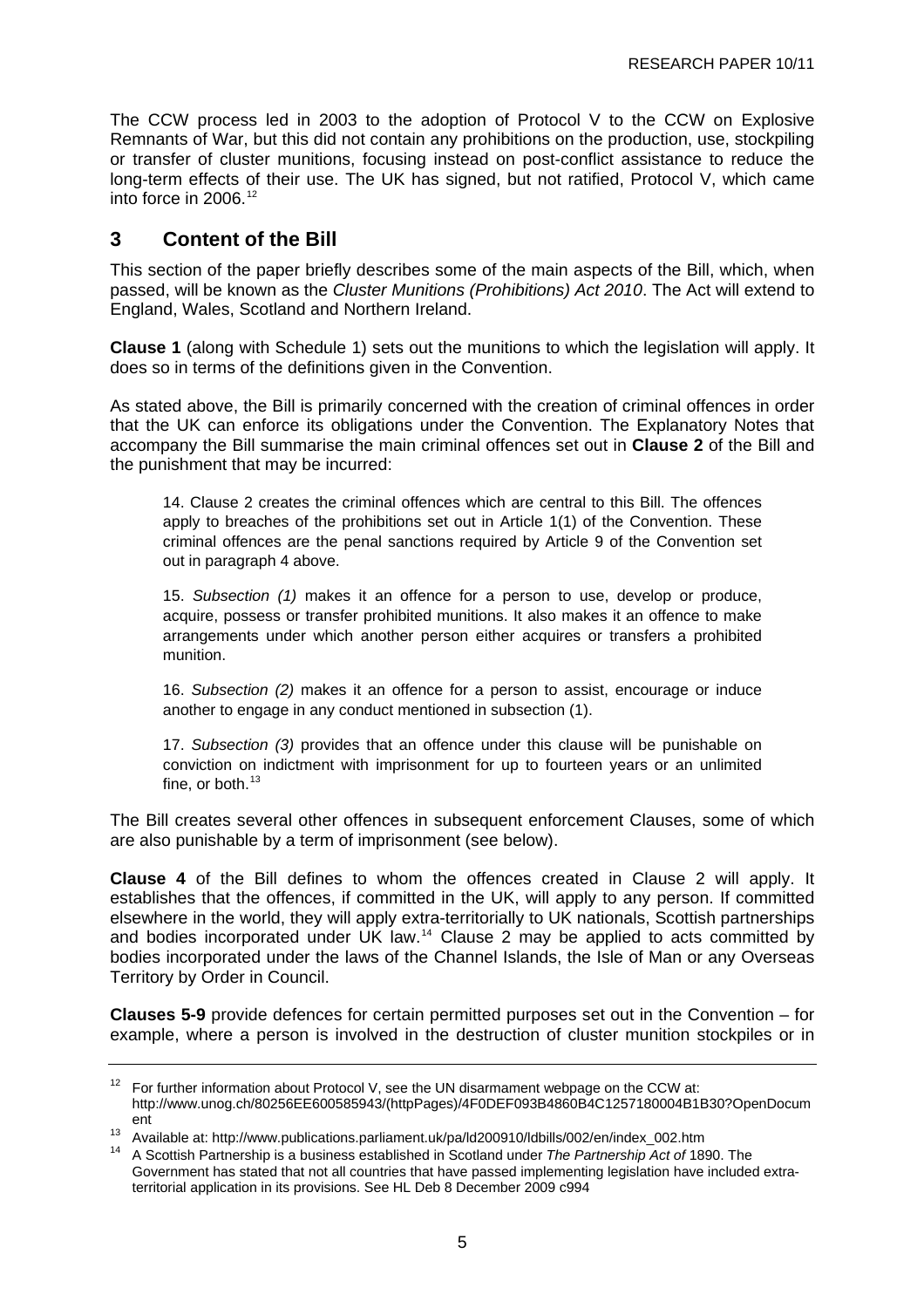<span id="page-10-0"></span>The CCW process led in 2003 to the adoption of Protocol V to the CCW on Explosive Remnants of War, but this did not contain any prohibitions on the production, use, stockpiling or transfer of cluster munitions, focusing instead on post-conflict assistance to reduce the long-term effects of their use. The UK has signed, but not ratified, Protocol V, which came into force in 2006.[12](#page-10-0)

# **3 Content of the Bill**

This section of the paper briefly describes some of the main aspects of the Bill, which, when passed, will be known as the *Cluster Munitions (Prohibitions) Act 2010*. The Act will extend to England, Wales, Scotland and Northern Ireland.

**Clause 1** (along with Schedule 1) sets out the munitions to which the legislation will apply. It does so in terms of the definitions given in the Convention.

As stated above, the Bill is primarily concerned with the creation of criminal offences in order that the UK can enforce its obligations under the Convention. The Explanatory Notes that accompany the Bill summarise the main criminal offences set out in **Clause 2** of the Bill and the punishment that may be incurred:

14. Clause 2 creates the criminal offences which are central to this Bill. The offences apply to breaches of the prohibitions set out in Article 1(1) of the Convention. These criminal offences are the penal sanctions required by Article 9 of the Convention set out in paragraph 4 above.

15. *Subsection (1)* makes it an offence for a person to use, develop or produce, acquire, possess or transfer prohibited munitions. It also makes it an offence to make arrangements under which another person either acquires or transfers a prohibited munition.

16. *Subsection (2)* makes it an offence for a person to assist, encourage or induce another to engage in any conduct mentioned in subsection (1).

17. *Subsection (3)* provides that an offence under this clause will be punishable on conviction on indictment with imprisonment for up to fourteen years or an unlimited fine, or both. $13$ 

The Bill creates several other offences in subsequent enforcement Clauses, some of which are also punishable by a term of imprisonment (see below).

**Clause 4** of the Bill defines to whom the offences created in Clause 2 will apply. It establishes that the offences, if committed in the UK, will apply to any person. If committed elsewhere in the world, they will apply extra-territorially to UK nationals, Scottish partnerships and bodies incorporated under UK law.[14](#page-10-0) Clause 2 may be applied to acts committed by bodies incorporated under the laws of the Channel Islands, the Isle of Man or any Overseas Territory by Order in Council.

**Clauses 5-9** provide defences for certain permitted purposes set out in the Convention – for example, where a person is involved in the destruction of cluster munition stockpiles or in

 $12$  For further information about Protocol V, see the UN disarmament webpage on the CCW at: [http://www.unog.ch/80256EE600585943/\(httpPages\)/4F0DEF093B4860B4C1257180004B1B30?OpenDocum](http://www.unog.ch/80256EE600585943/(httpPages)/4F0DEF093B4860B4C1257180004B1B30?OpenDocument)

[ent](http://www.unog.ch/80256EE600585943/(httpPages)/4F0DEF093B4860B4C1257180004B1B30?OpenDocument) 13 Available at: [http://www.publications.parliament.uk/pa/ld200910/ldbills/002/en/index\\_002.htm](http://www.publications.parliament.uk/pa/ld200910/ldbills/002/en/index_002.htm) 14 A Scottish Partnership is a business established in Scotland under *The Partnership Act of* 1890. The Government has stated that not all countries that have passed implementing legislation have included extraterritorial application in its provisions. See HL Deb 8 December 2009 c994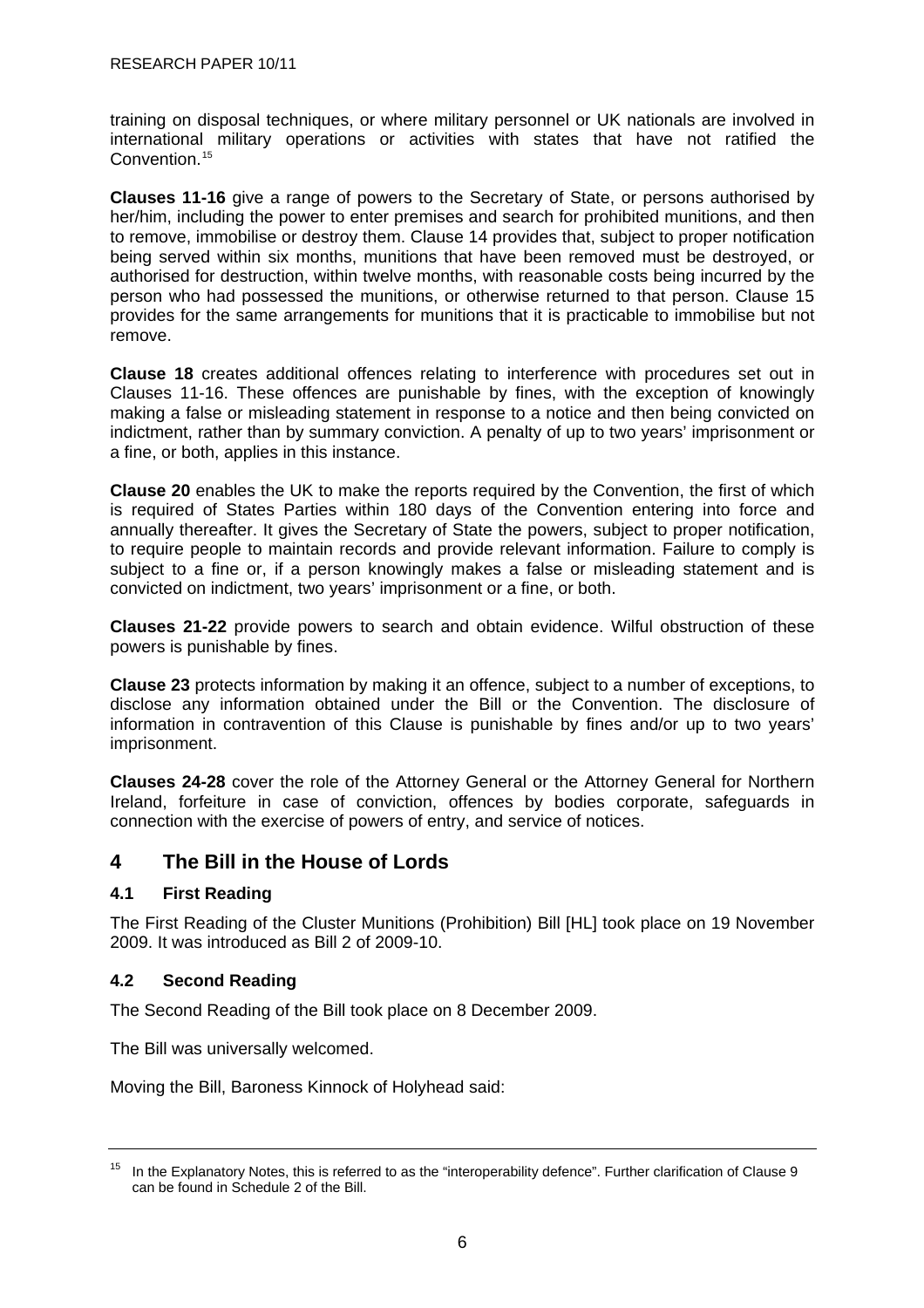<span id="page-11-0"></span>training on disposal techniques, or where military personnel or UK nationals are involved in international military operations or activities with states that have not ratified the Convention.<sup>[15](#page-11-0)</sup>

**Clauses 11-16** give a range of powers to the Secretary of State, or persons authorised by her/him, including the power to enter premises and search for prohibited munitions, and then to remove, immobilise or destroy them. Clause 14 provides that, subject to proper notification being served within six months, munitions that have been removed must be destroyed, or authorised for destruction, within twelve months, with reasonable costs being incurred by the person who had possessed the munitions, or otherwise returned to that person. Clause 15 provides for the same arrangements for munitions that it is practicable to immobilise but not remove.

**Clause 18** creates additional offences relating to interference with procedures set out in Clauses 11-16. These offences are punishable by fines, with the exception of knowingly making a false or misleading statement in response to a notice and then being convicted on indictment, rather than by summary conviction. A penalty of up to two years' imprisonment or a fine, or both, applies in this instance.

**Clause 20** enables the UK to make the reports required by the Convention, the first of which is required of States Parties within 180 days of the Convention entering into force and annually thereafter. It gives the Secretary of State the powers, subject to proper notification, to require people to maintain records and provide relevant information. Failure to comply is subject to a fine or, if a person knowingly makes a false or misleading statement and is convicted on indictment, two years' imprisonment or a fine, or both.

**Clauses 21-22** provide powers to search and obtain evidence. Wilful obstruction of these powers is punishable by fines.

**Clause 23** protects information by making it an offence, subject to a number of exceptions, to disclose any information obtained under the Bill or the Convention. The disclosure of information in contravention of this Clause is punishable by fines and/or up to two years' imprisonment.

**Clauses 24-28** cover the role of the Attorney General or the Attorney General for Northern Ireland, forfeiture in case of conviction, offences by bodies corporate, safeguards in connection with the exercise of powers of entry, and service of notices.

# **4 The Bill in the House of Lords**

## **4.1 First Reading**

The First Reading of the Cluster Munitions (Prohibition) Bill [HL] took place on 19 November 2009. It was introduced as Bill 2 of 2009-10.

## **4.2 Second Reading**

The Second Reading of the Bill took place on 8 December 2009.

The Bill was universally welcomed.

Moving the Bill, Baroness Kinnock of Holyhead said:

<sup>&</sup>lt;sup>15</sup> In the Explanatory Notes, this is referred to as the "interoperability defence". Further clarification of Clause 9 can be found in Schedule 2 of the Bill.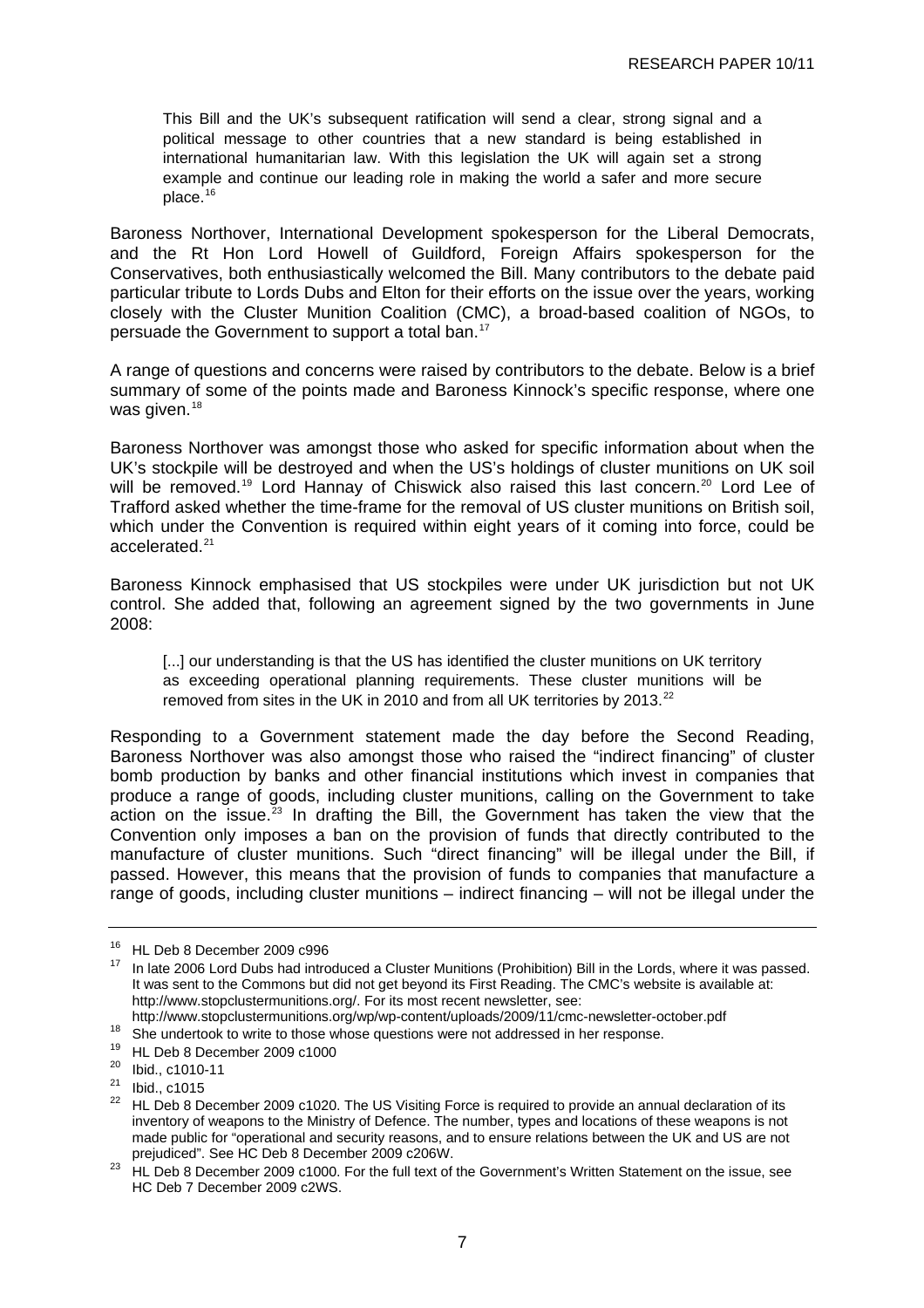<span id="page-12-0"></span>This Bill and the UK's subsequent ratification will send a clear, strong signal and a political message to other countries that a new standard is being established in international humanitarian law. With this legislation the UK will again set a strong example and continue our leading role in making the world a safer and more secure place.<sup>[16](#page-12-0)</sup>

Baroness Northover, International Development spokesperson for the Liberal Democrats, and the Rt Hon Lord Howell of Guildford, Foreign Affairs spokesperson for the Conservatives, both enthusiastically welcomed the Bill. Many contributors to the debate paid particular tribute to Lords Dubs and Elton for their efforts on the issue over the years, working closely with the Cluster Munition Coalition (CMC), a broad-based coalition of NGOs, to persuade the Government to support a total ban.<sup>[17](#page-12-0)</sup>

A range of questions and concerns were raised by contributors to the debate. Below is a brief summary of some of the points made and Baroness Kinnock's specific response, where one was given.<sup>[18](#page-12-0)</sup>

Baroness Northover was amongst those who asked for specific information about when the UK's stockpile will be destroyed and when the US's holdings of cluster munitions on UK soil will be removed.<sup>[19](#page-12-0)</sup> Lord Hannay of Chiswick also raised this last concern.<sup>[20](#page-12-0)</sup> Lord Lee of Trafford asked whether the time-frame for the removal of US cluster munitions on British soil, which under the Convention is required within eight years of it coming into force, could be accelerated.[21](#page-12-0)

Baroness Kinnock emphasised that US stockpiles were under UK jurisdiction but not UK control. She added that, following an agreement signed by the two governments in June 2008:

[...] our understanding is that the US has identified the cluster munitions on UK territory as exceeding operational planning requirements. These cluster munitions will be removed from sites in the UK in 2010 and from all UK territories by 2013. $^{22}$  $^{22}$  $^{22}$ 

Responding to a Government statement made the day before the Second Reading, Baroness Northover was also amongst those who raised the "indirect financing" of cluster bomb production by banks and other financial institutions which invest in companies that produce a range of goods, including cluster munitions, calling on the Government to take  $\alpha$  action on the issue.<sup>[23](#page-12-0)</sup> In drafting the Bill, the Government has taken the view that the Convention only imposes a ban on the provision of funds that directly contributed to the manufacture of cluster munitions. Such "direct financing" will be illegal under the Bill, if passed. However, this means that the provision of funds to companies that manufacture a range of goods, including cluster munitions – indirect financing – will not be illegal under the

<sup>16</sup> HL Deb 8 December 2009 c996

<sup>17</sup> In late 2006 Lord Dubs had introduced a Cluster Munitions (Prohibition) Bill in the Lords, where it was passed. It was sent to the Commons but did not get beyond its First Reading. The CMC's website is available at: [http://www.stopclustermunitions.org/.](http://www.stopclustermunitions.org/) For its most recent newsletter, see:<br>http://www.stopclustermunitions.org/wp/wp-content/uploads/2009/11/cmc-newsletter-october.pdf

 $18$  She undertook to write to those whose questions were not addressed in her response.

<sup>19</sup> HL Deb 8 December 2009 c1000

<sup>20</sup> Ibid., c1010-11

<sup>21</sup> Ibid., c1015

<sup>&</sup>lt;sup>22</sup> HL Deb 8 December 2009 c1020. The US Visiting Force is required to provide an annual declaration of its inventory of weapons to the Ministry of Defence. The number, types and locations of these weapons is not made public for "operational and security reasons, and to ensure relations between the UK and US are not prejudiced". See HC Deb 8 December 2009 c206W.

prejudiced . See HC Deb 8 December 2009 c1000. For the full text of the Government's Written Statement on the issue, see HC Deb 7 December 2009 c2WS.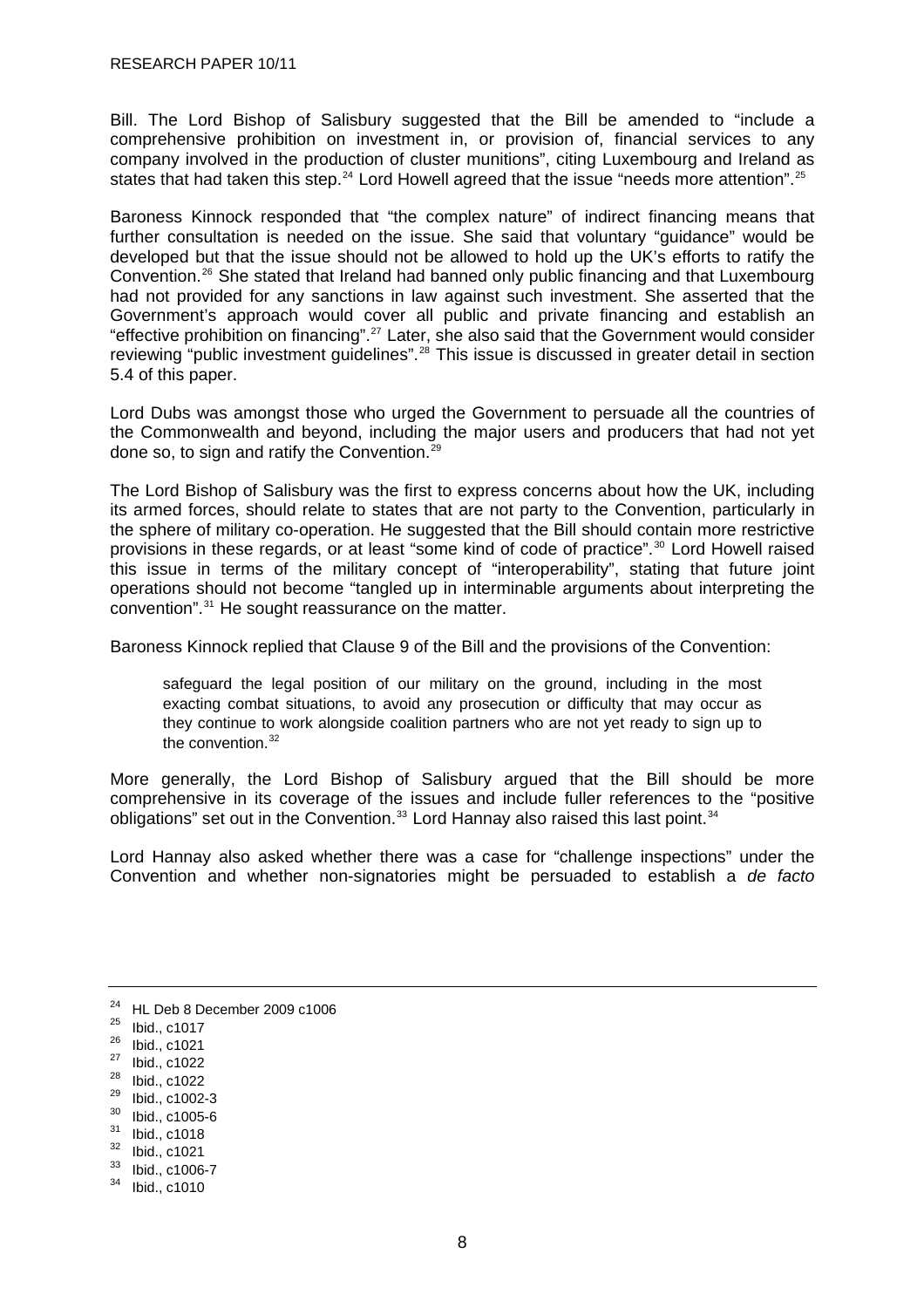<span id="page-13-0"></span>Bill. The Lord Bishop of Salisbury suggested that the Bill be amended to "include a comprehensive prohibition on investment in, or provision of, financial services to any company involved in the production of cluster munitions", citing Luxembourg and Ireland as states that had taken this step.<sup>[24](#page-13-0)</sup> Lord Howell agreed that the issue "needs more attention".<sup>[25](#page-13-0)</sup>

Baroness Kinnock responded that "the complex nature" of indirect financing means that further consultation is needed on the issue. She said that voluntary "guidance" would be developed but that the issue should not be allowed to hold up the UK's efforts to ratify the Convention.[26](#page-13-0) She stated that Ireland had banned only public financing and that Luxembourg had not provided for any sanctions in law against such investment. She asserted that the Government's approach would cover all public and private financing and establish an "effective prohibition on financing".[27](#page-13-0) Later, she also said that the Government would consider reviewing "public investment guidelines".<sup>[28](#page-13-0)</sup> This issue is discussed in greater detail in section 5.4 of this paper.

Lord Dubs was amongst those who urged the Government to persuade all the countries of the Commonwealth and beyond, including the major users and producers that had not yet done so, to sign and ratify the Convention.[29](#page-13-0)

The Lord Bishop of Salisbury was the first to express concerns about how the UK, including its armed forces, should relate to states that are not party to the Convention, particularly in the sphere of military co-operation. He suggested that the Bill should contain more restrictive provisions in these regards, or at least "some kind of code of practice".<sup>[30](#page-13-0)</sup> Lord Howell raised this issue in terms of the military concept of "interoperability", stating that future joint operations should not become "tangled up in interminable arguments about interpreting the convention".[31](#page-13-0) He sought reassurance on the matter.

Baroness Kinnock replied that Clause 9 of the Bill and the provisions of the Convention:

safeguard the legal position of our military on the ground, including in the most exacting combat situations, to avoid any prosecution or difficulty that may occur as they continue to work alongside coalition partners who are not yet ready to sign up to the convention.<sup>[32](#page-13-0)</sup>

More generally, the Lord Bishop of Salisbury argued that the Bill should be more comprehensive in its coverage of the issues and include fuller references to the "positive obligations" set out in the Convention.<sup>[33](#page-13-0)</sup> Lord Hannay also raised this last point.<sup>[34](#page-13-0)</sup>

Lord Hannay also asked whether there was a case for "challenge inspections" under the Convention and whether non-signatories might be persuaded to establish a *de facto* 

<sup>24</sup> HL Deb 8 December 2009 c1006

 $25$  Ibid., c1017

<sup>26</sup> Ibid., c1021

<sup>27</sup> Ibid., c1022

 $\frac{28}{29}$  Ibid., c1022

 $^{29}$  Ibid., c1002-3

 $\frac{30}{31}$  Ibid., c1005-6

 $\frac{31}{32}$  Ibid., c1018

 $\frac{32}{33}$  Ibid., c1021

 $\frac{33}{34}$  Ibid., c1006-7<br> $\frac{34}{1}$  Ibid. c1010

Ibid., c1010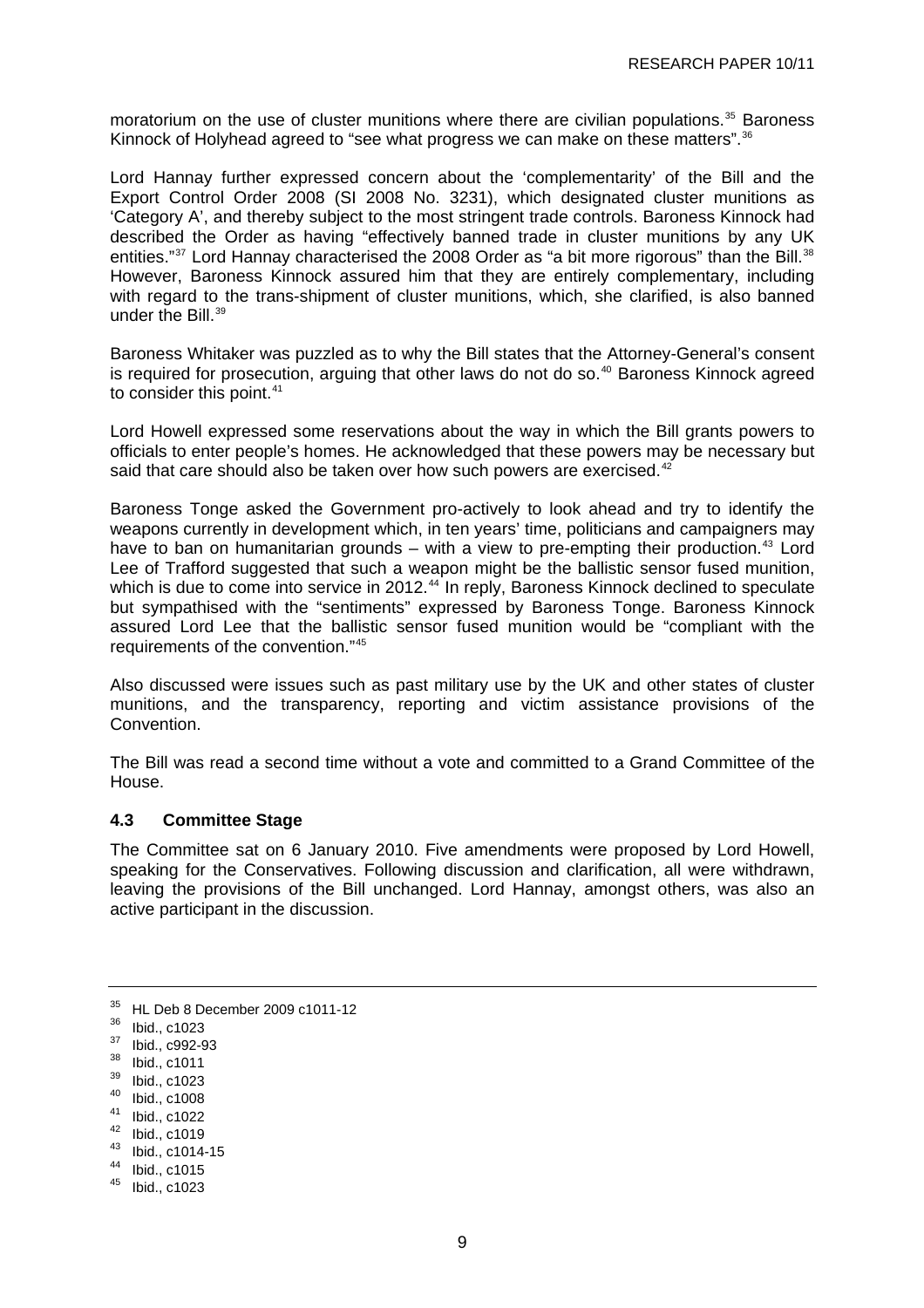<span id="page-14-0"></span>moratorium on the use of cluster munitions where there are civilian populations.<sup>[35](#page-14-0)</sup> Baroness Kinnock of Holyhead agreed to "see what progress we can make on these matters".<sup>[36](#page-14-0)</sup>

Lord Hannay further expressed concern about the 'complementarity' of the Bill and the [Export Control Order 2008](http://www.opsi.gov.uk/si/si2008/uksi_20083231_en_1) (SI 2008 No. 3231), which designated cluster munitions as 'Category A', and thereby subject to the most stringent trade controls. Baroness Kinnock had described the Order as having "effectively banned trade in cluster munitions by any UK entities."<sup>[37](#page-14-0)</sup> Lord Hannay characterised the 2008 Order as "a bit more rigorous" than the Bill.<sup>[38](#page-14-0)</sup> However, Baroness Kinnock assured him that they are entirely complementary, including with regard to the trans-shipment of cluster munitions, which, she clarified, is also banned under the Bill.<sup>[39](#page-14-0)</sup>

Baroness Whitaker was puzzled as to why the Bill states that the Attorney-General's consent is required for prosecution, arguing that other laws do not do so.<sup>[40](#page-14-0)</sup> Baroness Kinnock agreed to consider this point.<sup>[41](#page-14-0)</sup>

Lord Howell expressed some reservations about the way in which the Bill grants powers to officials to enter people's homes. He acknowledged that these powers may be necessary but said that care should also be taken over how such powers are exercised.<sup>[42](#page-14-0)</sup>

Baroness Tonge asked the Government pro-actively to look ahead and try to identify the weapons currently in development which, in ten years' time, politicians and campaigners may have to ban on humanitarian grounds – with a view to pre-empting their production.<sup>[43](#page-14-0)</sup> Lord Lee of Trafford suggested that such a weapon might be the ballistic sensor fused munition, which is due to come into service in 2012.<sup>[44](#page-14-0)</sup> In reply, Baroness Kinnock declined to speculate but sympathised with the "sentiments" expressed by Baroness Tonge. Baroness Kinnock assured Lord Lee that the ballistic sensor fused munition would be "compliant with the requirements of the convention."[45](#page-14-0)

Also discussed were issues such as past military use by the UK and other states of cluster munitions, and the transparency, reporting and victim assistance provisions of the Convention.

The Bill was read a second time without a vote and committed to a Grand Committee of the House.

## **4.3 Committee Stage**

The Committee sat on 6 January 2010. Five amendments were proposed by Lord Howell, speaking for the Conservatives. Following discussion and clarification, all were withdrawn, leaving the provisions of the Bill unchanged. Lord Hannay, amongst others, was also an active participant in the discussion.

- 40 Ibid., c1008
- 41 Ibid., c1022

- 43 Ibid., c1014-15
- 44 Ibid., c1015

<sup>35</sup> HL Deb 8 December 2009 c1011-12

<sup>36</sup> Ibid., c1023

<sup>37</sup> Ibid., c992-93

<sup>38</sup> Ibid., c1011

<sup>39</sup> Ibid., c1023

<sup>42</sup> Ibid., c1019

<sup>45</sup> Ibid., c1023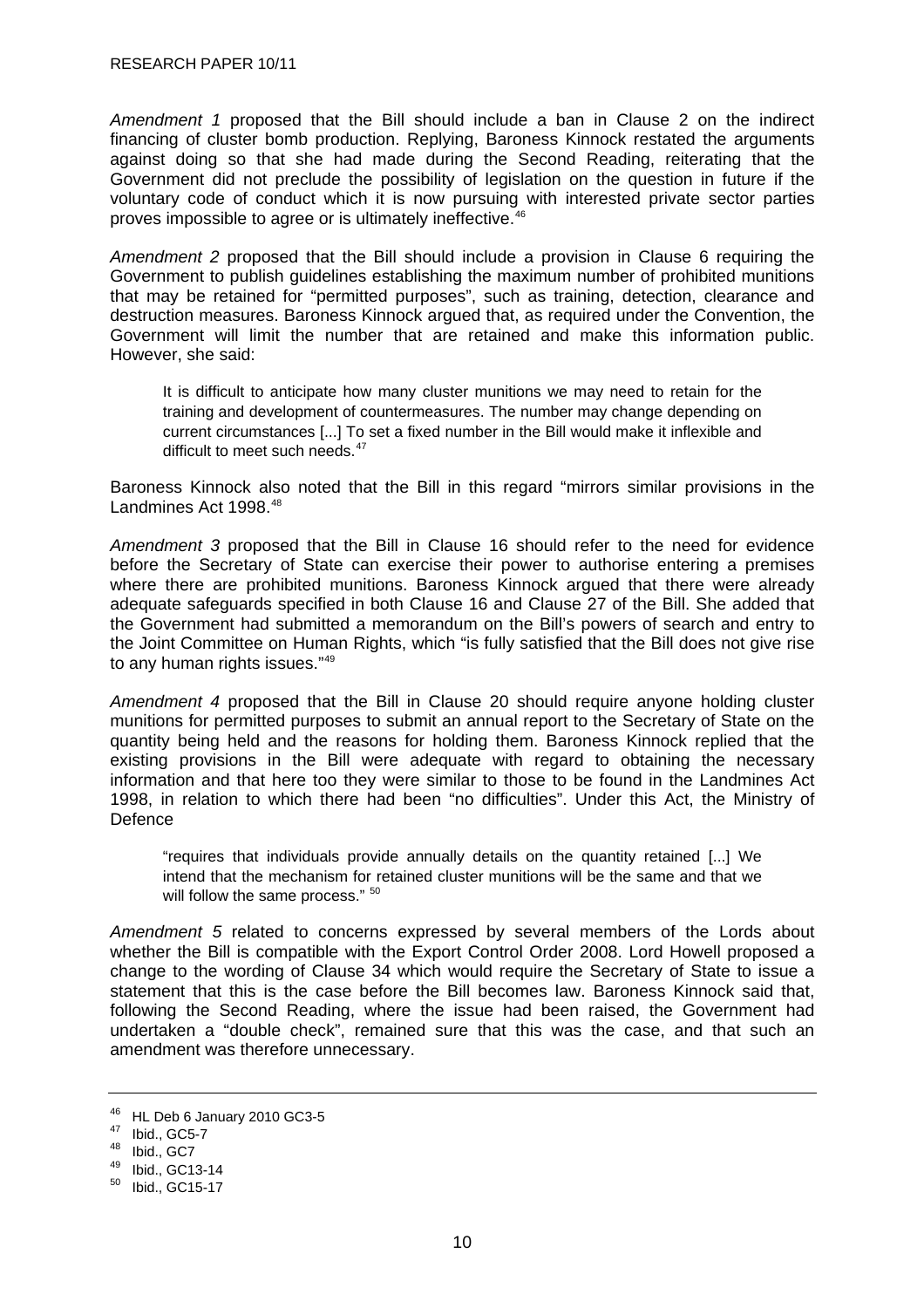<span id="page-15-0"></span>*Amendment 1* proposed that the Bill should include a ban in Clause 2 on the indirect financing of cluster bomb production. Replying, Baroness Kinnock restated the arguments against doing so that she had made during the Second Reading, reiterating that the Government did not preclude the possibility of legislation on the question in future if the voluntary code of conduct which it is now pursuing with interested private sector parties proves impossible to agree or is ultimately ineffective.<sup>[46](#page-15-0)</sup>

*Amendment 2* proposed that the Bill should include a provision in Clause 6 requiring the Government to publish guidelines establishing the maximum number of prohibited munitions that may be retained for "permitted purposes", such as training, detection, clearance and destruction measures. Baroness Kinnock argued that, as required under the Convention, the Government will limit the number that are retained and make this information public. However, she said:

It is difficult to anticipate how many cluster munitions we may need to retain for the training and development of countermeasures. The number may change depending on current circumstances [...] To set a fixed number in the Bill would make it inflexible and difficult to meet such needs.<sup>[47](#page-15-0)</sup>

Baroness Kinnock also noted that the Bill in this regard "mirrors similar provisions in the Landmines Act 1998.<sup>[48](#page-15-0)</sup>

*Amendment 3* proposed that the Bill in Clause 16 should refer to the need for evidence before the Secretary of State can exercise their power to authorise entering a premises where there are prohibited munitions. Baroness Kinnock argued that there were already adequate safeguards specified in both Clause 16 and Clause 27 of the Bill. She added that the Government had submitted a memorandum on the Bill's powers of search and entry to the Joint Committee on Human Rights, which "is fully satisfied that the Bill does not give rise to any human rights issues."[49](#page-15-0)

*Amendment 4* proposed that the Bill in Clause 20 should require anyone holding cluster munitions for permitted purposes to submit an annual report to the Secretary of State on the quantity being held and the reasons for holding them. Baroness Kinnock replied that the existing provisions in the Bill were adequate with regard to obtaining the necessary information and that here too they were similar to those to be found in the Landmines Act 1998, in relation to which there had been "no difficulties". Under this Act, the Ministry of **Defence** 

"requires that individuals provide annually details on the quantity retained [...] We intend that the mechanism for retained cluster munitions will be the same and that we will follow the same process."  $50$ 

*Amendment 5* related to concerns expressed by several members of the Lords about whether the Bill is compatible with the Export Control Order 2008. Lord Howell proposed a change to the wording of Clause 34 which would require the Secretary of State to issue a statement that this is the case before the Bill becomes law. Baroness Kinnock said that, following the Second Reading, where the issue had been raised, the Government had undertaken a "double check", remained sure that this was the case, and that such an amendment was therefore unnecessary.

<sup>46</sup> HL Deb 6 January 2010 GC3-5

<sup>47</sup> Ibid., GC5-7

<sup>48</sup> Ibid., GC7

 $^{49}$  Ibid., GC13-14<br> $^{50}$  Ibid. GC15-17

Ibid., GC15-17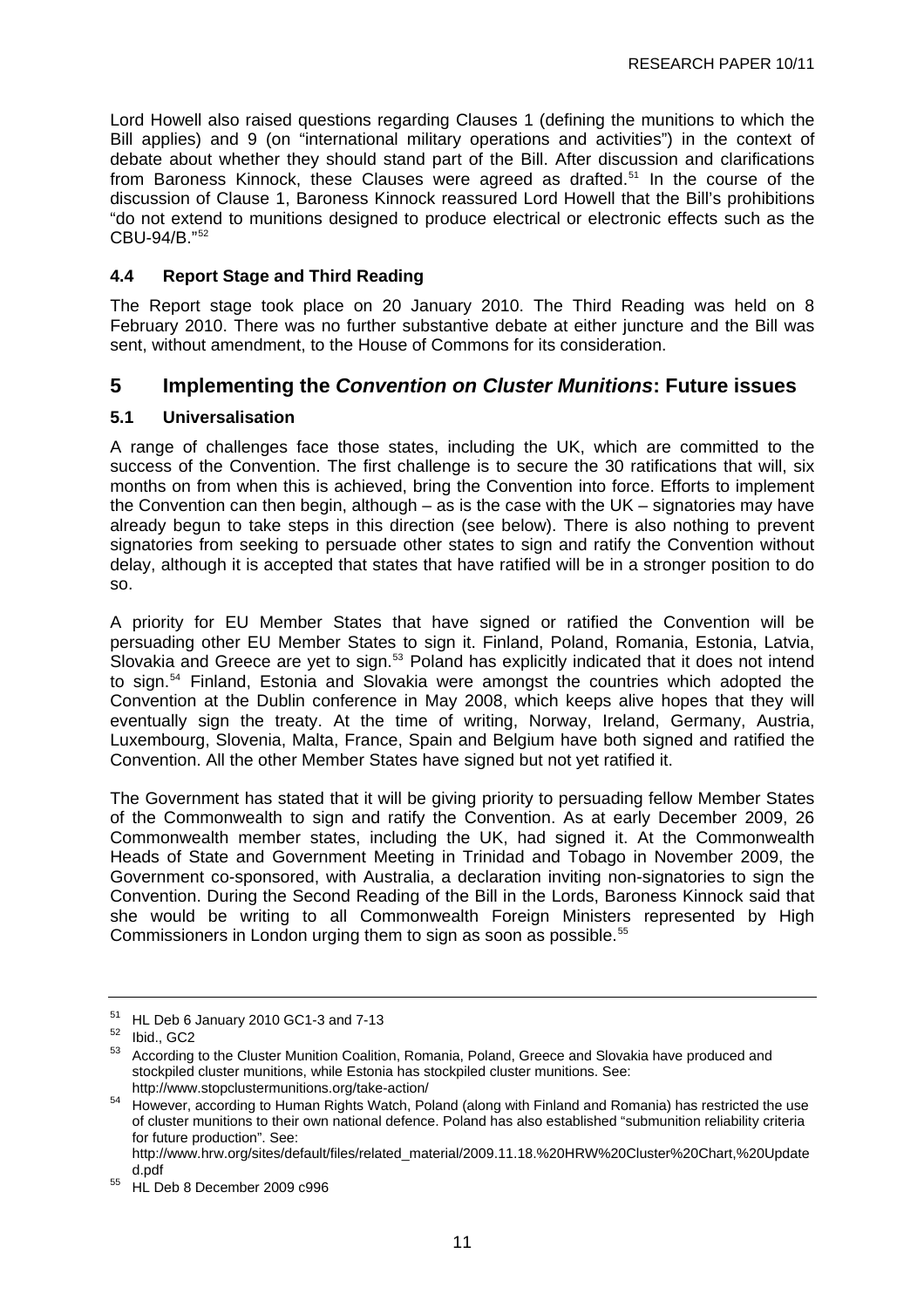<span id="page-16-0"></span>Lord Howell also raised questions regarding Clauses 1 (defining the munitions to which the Bill applies) and 9 (on "international military operations and activities") in the context of debate about whether they should stand part of the Bill. After discussion and clarifications from Baroness Kinnock, these Clauses were agreed as drafted.<sup>[51](#page-16-0)</sup> In the course of the discussion of Clause 1, Baroness Kinnock reassured Lord Howell that the Bill's prohibitions "do not extend to munitions designed to produce electrical or electronic effects such as the CBU-94/B."[52](#page-16-0)

## **4.4 Report Stage and Third Reading**

The Report stage took place on 20 January 2010. The Third Reading was held on 8 February 2010. There was no further substantive debate at either juncture and the Bill was sent, without amendment, to the House of Commons for its consideration.

## **5 Implementing the** *Convention on Cluster Munitions***: Future issues**

## **5.1 Universalisation**

A range of challenges face those states, including the UK, which are committed to the success of the Convention. The first challenge is to secure the 30 ratifications that will, six months on from when this is achieved, bring the Convention into force. Efforts to implement the Convention can then begin, although – as is the case with the UK – signatories may have already begun to take steps in this direction (see below). There is also nothing to prevent signatories from seeking to persuade other states to sign and ratify the Convention without delay, although it is accepted that states that have ratified will be in a stronger position to do so.

A priority for EU Member States that have signed or ratified the Convention will be persuading other EU Member States to sign it. Finland, Poland, Romania, Estonia, Latvia, Slovakia and Greece are yet to sign.<sup>[53](#page-16-0)</sup> Poland has explicitly indicated that it does not intend to sign.[54](#page-16-0) Finland, Estonia and Slovakia were amongst the countries which adopted the Convention at the Dublin conference in May 2008, which keeps alive hopes that they will eventually sign the treaty. At the time of writing, Norway, Ireland, Germany, Austria, Luxembourg, Slovenia, Malta, France, Spain and Belgium have both signed and ratified the Convention. All the other Member States have signed but not yet ratified it.

The Government has stated that it will be giving priority to persuading fellow Member States of the Commonwealth to sign and ratify the Convention. As at early December 2009, 26 Commonwealth member states, including the UK, had signed it. At the Commonwealth Heads of State and Government Meeting in Trinidad and Tobago in November 2009, the Government co-sponsored, with Australia, a declaration inviting non-signatories to sign the Convention. During the Second Reading of the Bill in the Lords, Baroness Kinnock said that she would be writing to all Commonwealth Foreign Ministers represented by High Commissioners in London urging them to sign as soon as possible.<sup>[55](#page-16-0)</sup>

 $51$  HL Deb 6 January 2010 GC1-3 and 7-13

 $\frac{52}{53}$  Ibid., GC2

<sup>53</sup> According to the Cluster Munition Coalition, Romania, Poland, Greece and Slovakia have produced and stockpiled cluster munitions, while Estonia has stockpiled cluster munitions. See:

<http://www.stopclustermunitions.org/take-action/><br>However, according to Human Rights Watch, Poland (along with Finland and Romania) has restricted the use of cluster munitions to their own national defence. Poland has also established "submunition reliability criteria for future production". See: [http://www.hrw.org/sites/default/files/related\\_material/2009.11.18.%20HRW%20Cluster%20Chart,%20Update](http://www.hrw.org/sites/default/files/related_material/2009.11.18.%20HRW%20Cluster%20Chart,%20Updated.pdf)

[d.pdf](http://www.hrw.org/sites/default/files/related_material/2009.11.18.%20HRW%20Cluster%20Chart,%20Updated.pdf)<br>
<sup>55</sup> HL Deb 8 December 2009 c996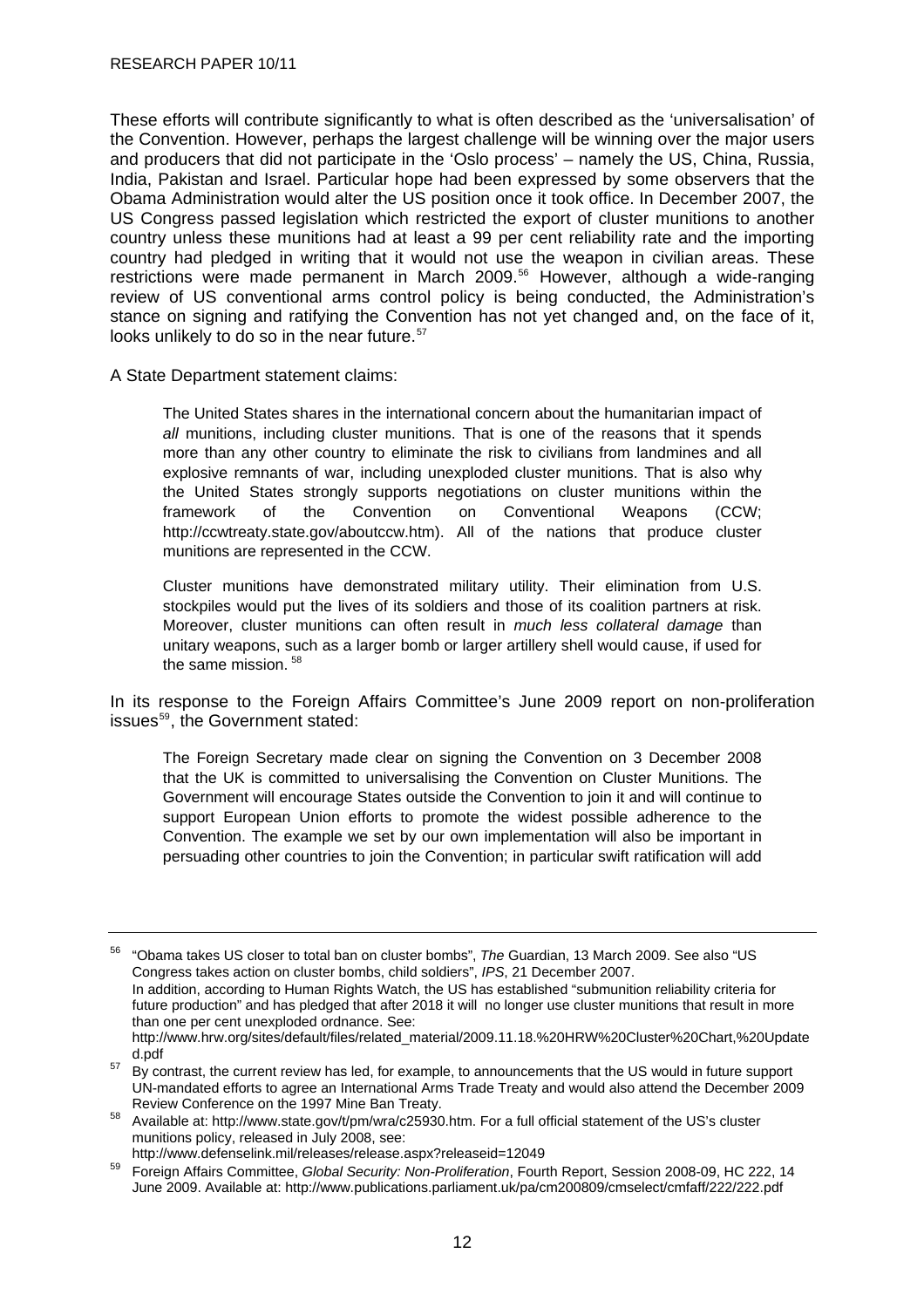<span id="page-17-0"></span>These efforts will contribute significantly to what is often described as the 'universalisation' of the Convention. However, perhaps the largest challenge will be winning over the major users and producers that did not participate in the 'Oslo process' – namely the US, China, Russia, India, Pakistan and Israel. Particular hope had been expressed by some observers that the Obama Administration would alter the US position once it took office. In December 2007, the US Congress passed legislation which restricted the export of cluster munitions to another country unless these munitions had at least a 99 per cent reliability rate and the importing country had pledged in writing that it would not use the weapon in civilian areas. These restrictions were made permanent in March 2009.<sup>[56](#page-17-0)</sup> However, although a wide-ranging review of US conventional arms control policy is being conducted, the Administration's stance on signing and ratifying the Convention has not yet changed and, on the face of it, looks unlikely to do so in the near future.<sup>[57](#page-17-0)</sup>

A State Department statement claims:

The United States shares in the international concern about the humanitarian impact of all munitions, including cluster munitions. That is one of the reasons that it spends more than any other country to eliminate the risk to civilians from landmines and all explosive remnants of war, including unexploded cluster munitions. That is also why the United States strongly supports negotiations on cluster munitions within the framework of the Convention on Conventional Weapons (CCW; <http://ccwtreaty.state.gov/aboutccw.htm>). All of the nations that produce cluster munitions are represented in the CCW.

Cluster munitions have demonstrated military utility. Their elimination from U.S. stockpiles would put the lives of its soldiers and those of its coalition partners at risk. Moreover, cluster munitions can often result in *much less collateral damage* than unitary weapons, such as a larger bomb or larger artillery shell would cause, if used for the same mission.<sup>[58](#page-17-0)</sup>

In its response to the Foreign Affairs Committee's June 2009 report on non-proliferation issues<sup>[59](#page-17-0)</sup>, the Government stated:

The Foreign Secretary made clear on signing the Convention on 3 December 2008 that the UK is committed to universalising the Convention on Cluster Munitions. The Government will encourage States outside the Convention to join it and will continue to support European Union efforts to promote the widest possible adherence to the Convention. The example we set by our own implementation will also be important in persuading other countries to join the Convention; in particular swift ratification will add

<sup>56 &</sup>quot;Obama takes US closer to total ban on cluster bombs", *The* Guardian, 13 March 2009. See also ["US](http://209.85.229.132/search?q=cache:XXnzgwJ0sowJ:ipsnews.net/news.asp%3Fidnews%3D40579+US+%2B+Congress+%2B+%22cluster+munitions%22+%2B+export&cd=2&hl=en&ct=clnk&gl=uk)  [Congress takes action on cluster bombs, child soldiers"](http://209.85.229.132/search?q=cache:XXnzgwJ0sowJ:ipsnews.net/news.asp%3Fidnews%3D40579+US+%2B+Congress+%2B+%22cluster+munitions%22+%2B+export&cd=2&hl=en&ct=clnk&gl=uk), *IPS*, 21 December 2007.

In addition, according to Human Rights Watch, the US has established "submunition reliability criteria for future production" and has pledged that after 2018 it will no longer use cluster munitions that result in more than one per cent unexploded ordnance. See:

[http://www.hrw.org/sites/default/files/related\\_material/2009.11.18.%20HRW%20Cluster%20Chart,%20Update](http://www.hrw.org/sites/default/files/related_material/2009.11.18.%20HRW%20Cluster%20Chart,%20Updated.pdf)

d.pdf<br><sup>57</sup> By contrast, the current review has led, for example, to announcements that the US would in future support UN-mandated efforts to agree an International Arms Trade Treaty and would also attend the December 2009

Review Conference on the 1997 Mine Ban Treaty.<br>58 Available at: <http://www.state.gov/t/pm/wra/c25930.htm>. For a full official statement of the US's cluster munitions policy, released in July 2008, see:

<http://www.defenselink.mil/releases/release.aspx?releaseid=12049>59 Foreign Affairs Committee, *Global Security: Non-Proliferation*, Fourth Report, Session 2008-09, HC 222, 14 June 2009. Available at: <http://www.publications.parliament.uk/pa/cm200809/cmselect/cmfaff/222/222.pdf>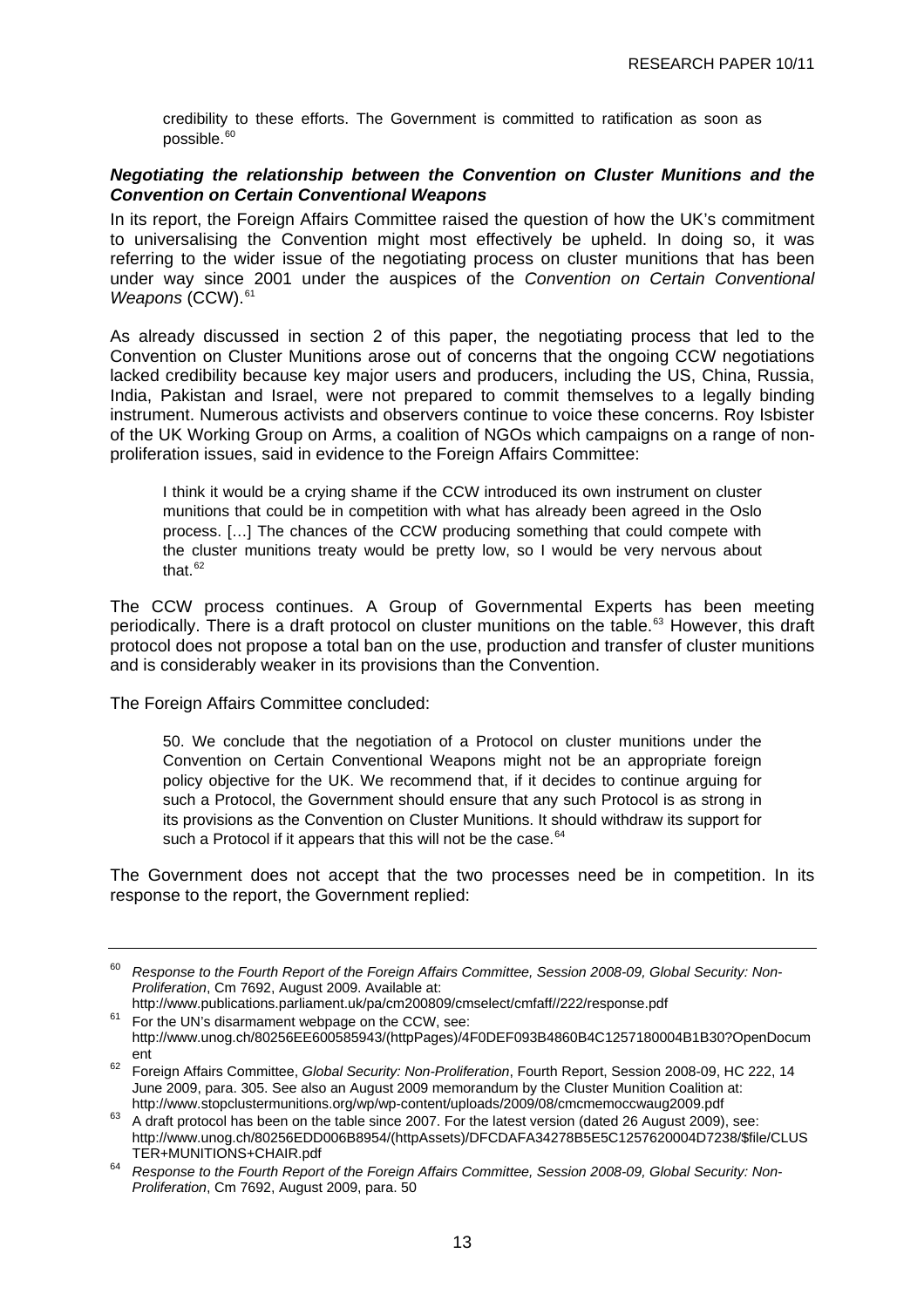<span id="page-18-0"></span>credibility to these efforts. The Government is committed to ratification as soon as possible.<sup>[60](#page-18-0)</sup>

#### *Negotiating the relationship between the Convention on Cluster Munitions and the Convention on Certain Conventional Weapons*

In its report, the Foreign Affairs Committee raised the question of how the UK's commitment to universalising the Convention might most effectively be upheld. In doing so, it was referring to the wider issue of the negotiating process on cluster munitions that has been under way since 2001 under the auspices of the *Convention on Certain Conventional Weapons* (CCW).<sup>[61](#page-18-0)</sup>

As already discussed in section 2 of this paper, the negotiating process that led to the Convention on Cluster Munitions arose out of concerns that the ongoing CCW negotiations lacked credibility because key major users and producers, including the US, China, Russia, India, Pakistan and Israel, were not prepared to commit themselves to a legally binding instrument. Numerous activists and observers continue to voice these concerns. Roy Isbister of the UK Working Group on Arms, a coalition of NGOs which campaigns on a range of nonproliferation issues, said in evidence to the Foreign Affairs Committee:

I think it would be a crying shame if the CCW introduced its own instrument on cluster munitions that could be in competition with what has already been agreed in the Oslo process. […] The chances of the CCW producing something that could compete with the cluster munitions treaty would be pretty low, so I would be very nervous about that. $62$ 

The CCW process continues. A Group of Governmental Experts has been meeting periodically. There is a draft protocol on cluster munitions on the table.<sup>[63](#page-18-0)</sup> However, this draft protocol does not propose a total ban on the use, production and transfer of cluster munitions and is considerably weaker in its provisions than the Convention.

The Foreign Affairs Committee concluded:

50. We conclude that the negotiation of a Protocol on cluster munitions under the Convention on Certain Conventional Weapons might not be an appropriate foreign policy objective for the UK. We recommend that, if it decides to continue arguing for such a Protocol, the Government should ensure that any such Protocol is as strong in its provisions as the Convention on Cluster Munitions. It should withdraw its support for such a Protocol if it appears that this will not be the case.<sup>[64](#page-18-0)</sup>

The Government does not accept that the two processes need be in competition. In its response to the report, the Government replied:

<sup>60</sup> *Response to the Fourth Report of the Foreign Affairs Committee, Session 2008-09, Global Security: Non-Proliferation*, Cm 7692, August 2009. Available at:

<http://www.publications.parliament.uk/pa/cm200809/cmselect/cmfaff//222/response.pdf>For the UN's disarmament webpage on the CCW, see: [http://www.unog.ch/80256EE600585943/\(httpPages\)/4F0DEF093B4860B4C1257180004B1B30?OpenDocum](http://www.unog.ch/80256EE600585943/(httpPages)/4F0DEF093B4860B4C1257180004B1B30?OpenDocument)

[ent](http://www.unog.ch/80256EE600585943/(httpPages)/4F0DEF093B4860B4C1257180004B1B30?OpenDocument) 62 Foreign Affairs Committee, *Global Security: Non-Proliferation*, Fourth Report, Session 2008-09, HC 222, 14 June 2009, para. 305. See also an August 2009 memorandum by the Cluster Munition Coalition at:<br>http://www.stopclustermunitions.org/wp/wp-content/uploads/2009/08/cmcmemoccwauq2009.pdf

 $h_3$  A draft protocol has been on the table since 2007. For the latest version (dated 26 August 2009), see: [http://www.unog.ch/80256EDD006B8954/\(httpAssets\)/DFCDAFA34278B5E5C1257620004D7238/\\$file/CLUS](http://www.unog.ch/80256EDD006B8954/(httpAssets)/DFCDAFA34278B5E5C1257620004D7238/$file/CLUSTER+MUNITIONS+CHAIR.pdf)

[TER+MUNITIONS+CHAIR.pdf](http://www.unog.ch/80256EDD006B8954/(httpAssets)/DFCDAFA34278B5E5C1257620004D7238/$file/CLUSTER+MUNITIONS+CHAIR.pdf) 64 *Response to the Fourth Report of the Foreign Affairs Committee, Session 2008-09, Global Security: Non-Proliferation*, Cm 7692, August 2009, para. 50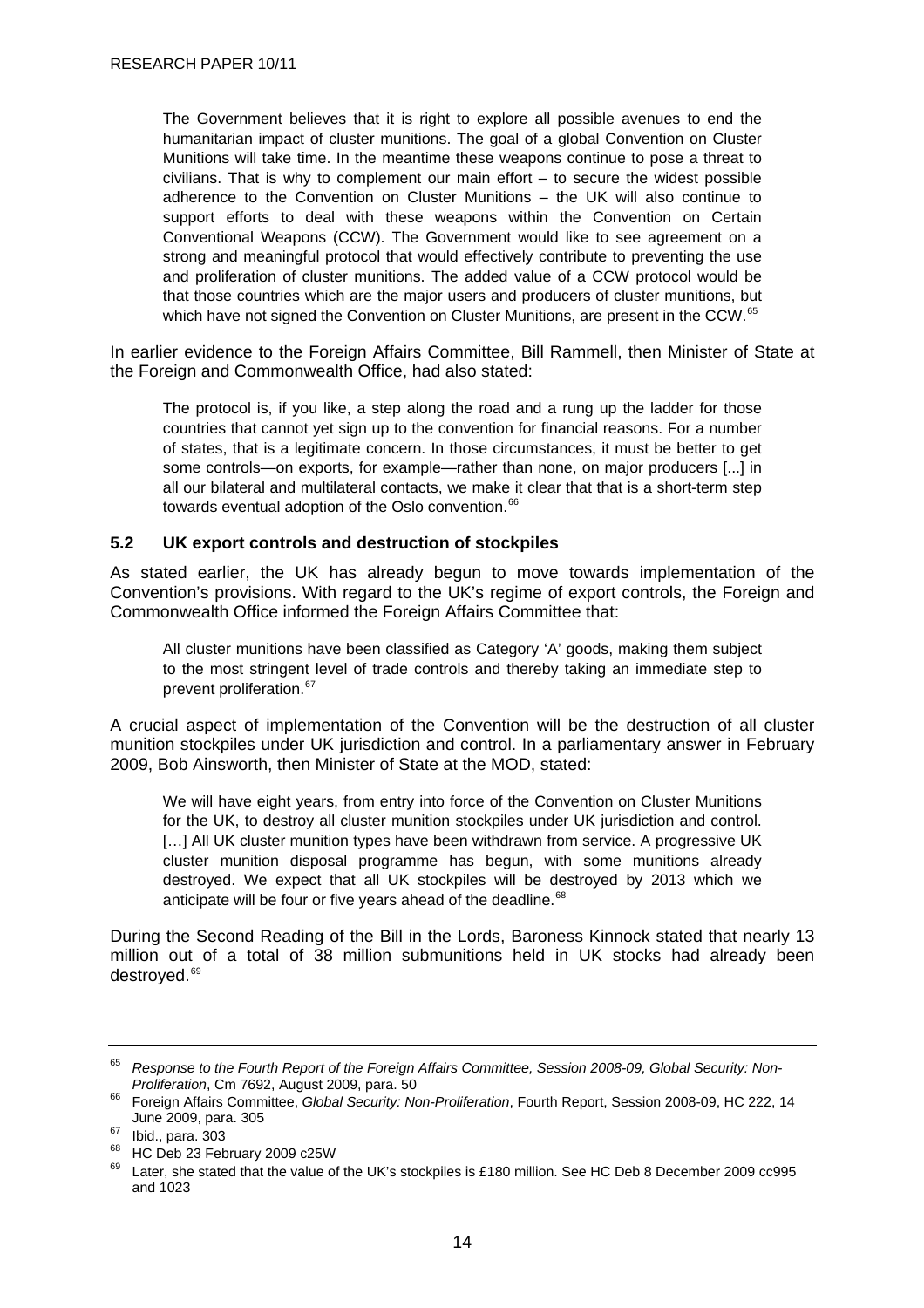<span id="page-19-0"></span>The Government believes that it is right to explore all possible avenues to end the humanitarian impact of cluster munitions. The goal of a global Convention on Cluster Munitions will take time. In the meantime these weapons continue to pose a threat to civilians. That is why to complement our main effort – to secure the widest possible adherence to the Convention on Cluster Munitions – the UK will also continue to support efforts to deal with these weapons within the Convention on Certain Conventional Weapons (CCW). The Government would like to see agreement on a strong and meaningful protocol that would effectively contribute to preventing the use and proliferation of cluster munitions. The added value of a CCW protocol would be that those countries which are the major users and producers of cluster munitions, but which have not signed the Convention on Cluster Munitions, are present in the CCW.<sup>[65](#page-19-0)</sup>

In earlier evidence to the Foreign Affairs Committee, Bill Rammell, then Minister of State at the Foreign and Commonwealth Office, had also stated:

The protocol is, if you like, a step along the road and a rung up the ladder for those countries that cannot yet sign up to the convention for financial reasons. For a number of states, that is a legitimate concern. In those circumstances, it must be better to get some controls—on exports, for example—rather than none, on major producers [...] in all our bilateral and multilateral contacts, we make it clear that that is a short-term step towards eventual adoption of the Oslo convention.<sup>[66](#page-19-0)</sup>

#### **5.2 UK export controls and destruction of stockpiles**

As stated earlier, the UK has already begun to move towards implementation of the Convention's provisions. With regard to the UK's regime of export controls, the Foreign and Commonwealth Office informed the Foreign Affairs Committee that:

All cluster munitions have been classified as Category 'A' goods, making them subject to the most stringent level of trade controls and thereby taking an immediate step to prevent proliferation.<sup>[67](#page-19-0)</sup>

A crucial aspect of implementation of the Convention will be the destruction of all cluster munition stockpiles under UK jurisdiction and control. In a parliamentary answer in February 2009, Bob Ainsworth, then Minister of State at the MOD, stated:

We will have eight years, from entry into force of the Convention on Cluster Munitions for the UK, to destroy all cluster munition stockpiles under UK jurisdiction and control. [...] All UK cluster munition types have been withdrawn from service. A progressive UK cluster munition disposal programme has begun, with some munitions already destroyed. We expect that all UK stockpiles will be destroyed by 2013 which we anticipate will be four or five years ahead of the deadline.<sup>[68](#page-19-0)</sup>

During the Second Reading of the Bill in the Lords, Baroness Kinnock stated that nearly 13 million out of a total of 38 million submunitions held in UK stocks had already been destroyed.<sup>[69](#page-19-0)</sup>

<sup>&</sup>lt;sup>65</sup> Response to the Fourth Report of the Foreign Affairs Committee, Session 2008-09, Global Security: Non-<br>Proliferation, Cm 7692, August 2009, para. 50

*Proliferation*, Cm 7692, August 2009, para. 50 66 Foreign Affairs Committee, *Global Security: Non-Proliferation*, Fourth Report, Session 2008-09, HC 222, 14 June 2009, para. 305<br><sup>67</sup> Ibid., para. 303

 $^{68}$  HC Deb 23 February 2009 c25W

Later, she stated that the value of the UK's stockpiles is £180 million. See HC Deb 8 December 2009 cc995 and 1023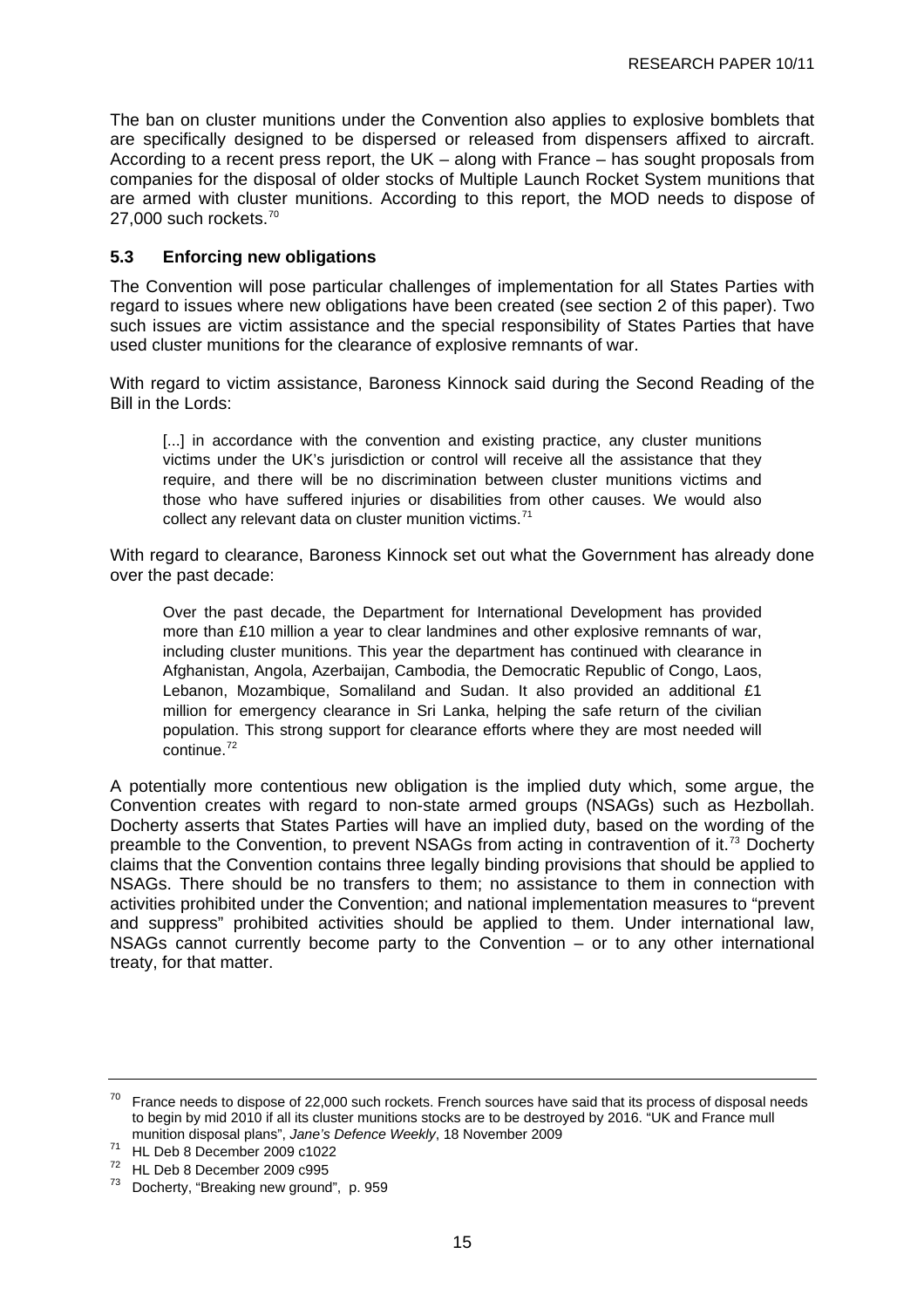<span id="page-20-0"></span>The ban on cluster munitions under the Convention also applies to explosive bomblets that are specifically designed to be dispersed or released from dispensers affixed to aircraft. According to a recent press report, the UK – along with France – has sought proposals from companies for the disposal of older stocks of Multiple Launch Rocket System munitions that are armed with cluster munitions. According to this report, the MOD needs to dispose of 27,000 such rockets. $70$ 

## **5.3 Enforcing new obligations**

The Convention will pose particular challenges of implementation for all States Parties with regard to issues where new obligations have been created (see section 2 of this paper). Two such issues are victim assistance and the special responsibility of States Parties that have used cluster munitions for the clearance of explosive remnants of war.

With regard to victim assistance, Baroness Kinnock said during the Second Reading of the Bill in the Lords:

[...] in accordance with the convention and existing practice, any cluster munitions victims under the UK's jurisdiction or control will receive all the assistance that they require, and there will be no discrimination between cluster munitions victims and those who have suffered injuries or disabilities from other causes. We would also collect any relevant data on cluster munition victims.<sup>[71](#page-20-0)</sup>

With regard to clearance, Baroness Kinnock set out what the Government has already done over the past decade:

Over the past decade, the Department for International Development has provided more than £10 million a year to clear landmines and other explosive remnants of war, including cluster munitions. This year the department has continued with clearance in Afghanistan, Angola, Azerbaijan, Cambodia, the Democratic Republic of Congo, Laos, Lebanon, Mozambique, Somaliland and Sudan. It also provided an additional £1 million for emergency clearance in Sri Lanka, helping the safe return of the civilian population. This strong support for clearance efforts where they are most needed will  $\frac{1}{2}$ continue.<sup>[72](#page-20-0)</sup>

A potentially more contentious new obligation is the implied duty which, some argue, the Convention creates with regard to non-state armed groups (NSAGs) such as Hezbollah. Docherty asserts that States Parties will have an implied duty, based on the wording of the preamble to the Convention, to prevent NSAGs from acting in contravention of it.[73](#page-20-0) Docherty claims that the Convention contains three legally binding provisions that should be applied to NSAGs. There should be no transfers to them; no assistance to them in connection with activities prohibited under the Convention; and national implementation measures to "prevent and suppress" prohibited activities should be applied to them. Under international law, NSAGs cannot currently become party to the Convention – or to any other international treaty, for that matter.

 $70$  France needs to dispose of 22,000 such rockets. French sources have said that its process of disposal needs to begin by mid 2010 if all its cluster munitions stocks are to be destroyed by 2016. "UK and France mull munition disposal plans", *Jane's Defence Weekly*, 18 November 2009 71 HL Deb 8 December 2009 c1022

<sup>72</sup> HL Deb 8 December 2009 c995

<sup>73</sup> Docherty, "Breaking new ground", p. 959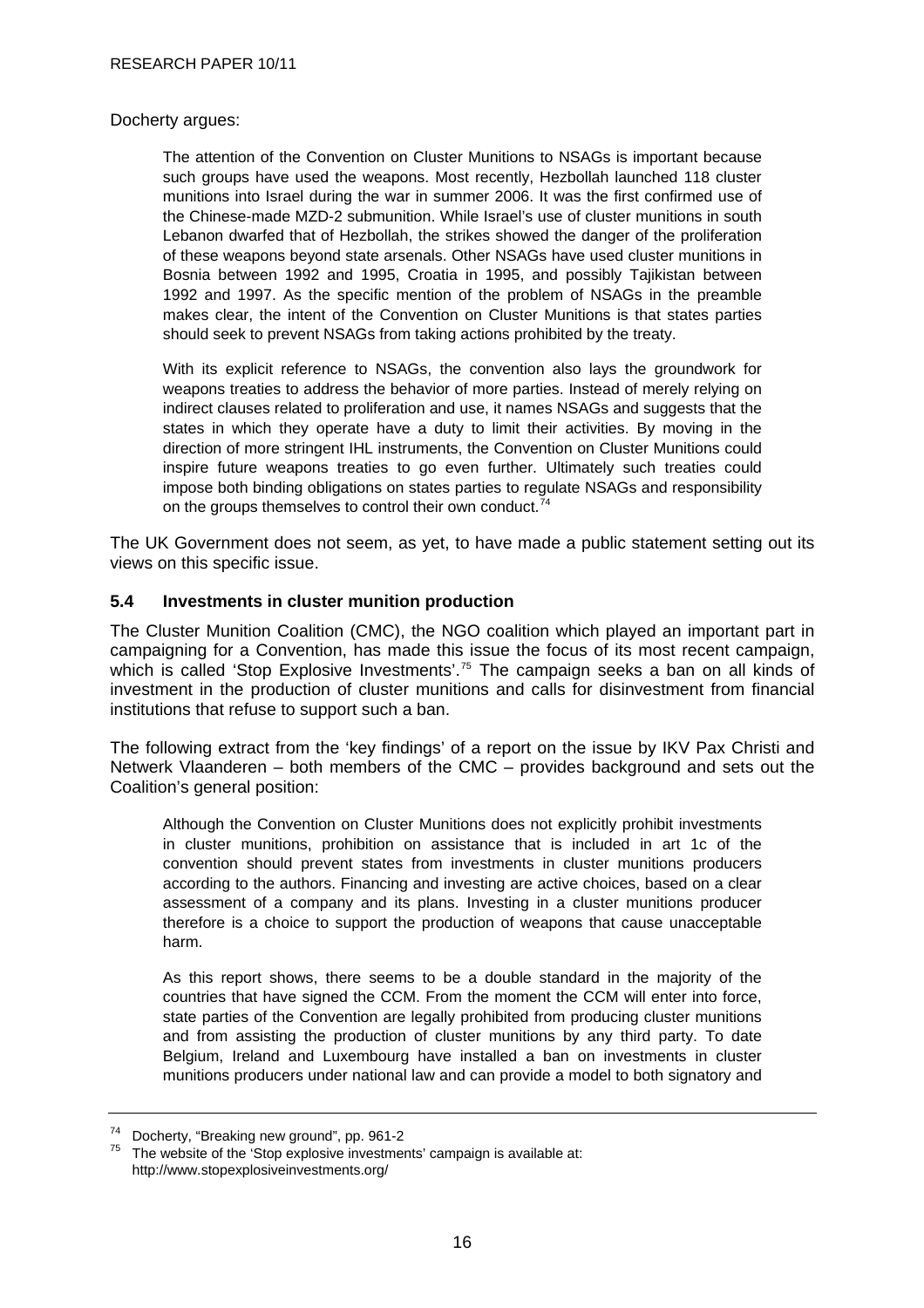#### <span id="page-21-0"></span>Docherty argues:

The attention of the Convention on Cluster Munitions to NSAGs is important because such groups have used the weapons. Most recently, Hezbollah launched 118 cluster munitions into Israel during the war in summer 2006. It was the first confirmed use of the Chinese-made MZD-2 submunition. While Israel's use of cluster munitions in south Lebanon dwarfed that of Hezbollah, the strikes showed the danger of the proliferation of these weapons beyond state arsenals. Other NSAGs have used cluster munitions in Bosnia between 1992 and 1995, Croatia in 1995, and possibly Tajikistan between 1992 and 1997. As the specific mention of the problem of NSAGs in the preamble makes clear, the intent of the Convention on Cluster Munitions is that states parties should seek to prevent NSAGs from taking actions prohibited by the treaty.

With its explicit reference to NSAGs, the convention also lays the groundwork for weapons treaties to address the behavior of more parties. Instead of merely relying on indirect clauses related to proliferation and use, it names NSAGs and suggests that the states in which they operate have a duty to limit their activities. By moving in the direction of more stringent IHL instruments, the Convention on Cluster Munitions could inspire future weapons treaties to go even further. Ultimately such treaties could impose both binding obligations on states parties to regulate NSAGs and responsibility on the groups themselves to control their own conduct.<sup>[74](#page-21-0)</sup>

The UK Government does not seem, as yet, to have made a public statement setting out its views on this specific issue.

#### **5.4 Investments in cluster munition production**

The Cluster Munition Coalition (CMC), the NGO coalition which played an important part in campaigning for a Convention, has made this issue the focus of its most recent campaign, which is called 'Stop Explosive Investments'.<sup>[75](#page-21-0)</sup> The campaign seeks a ban on all kinds of investment in the production of cluster munitions and calls for disinvestment from financial institutions that refuse to support such a ban.

The following extract from the 'key findings' of a report on the issue by IKV Pax Christi and Netwerk Vlaanderen – both members of the CMC – provides background and sets out the Coalition's general position:

Although the Convention on Cluster Munitions does not explicitly prohibit investments in cluster munitions, prohibition on assistance that is included in art 1c of the convention should prevent states from investments in cluster munitions producers according to the authors. Financing and investing are active choices, based on a clear assessment of a company and its plans. Investing in a cluster munitions producer therefore is a choice to support the production of weapons that cause unacceptable harm.

As this report shows, there seems to be a double standard in the majority of the countries that have signed the CCM. From the moment the CCM will enter into force, state parties of the Convention are legally prohibited from producing cluster munitions and from assisting the production of cluster munitions by any third party. To date Belgium, Ireland and Luxembourg have installed a ban on investments in cluster munitions producers under national law and can provide a model to both signatory and

 $74$  Docherty, "Breaking new ground", pp. 961-2<br> $75$  The unheits of the integrative investment

The website of the 'Stop explosive investments' campaign is available at: <http://www.stopexplosiveinvestments.org/>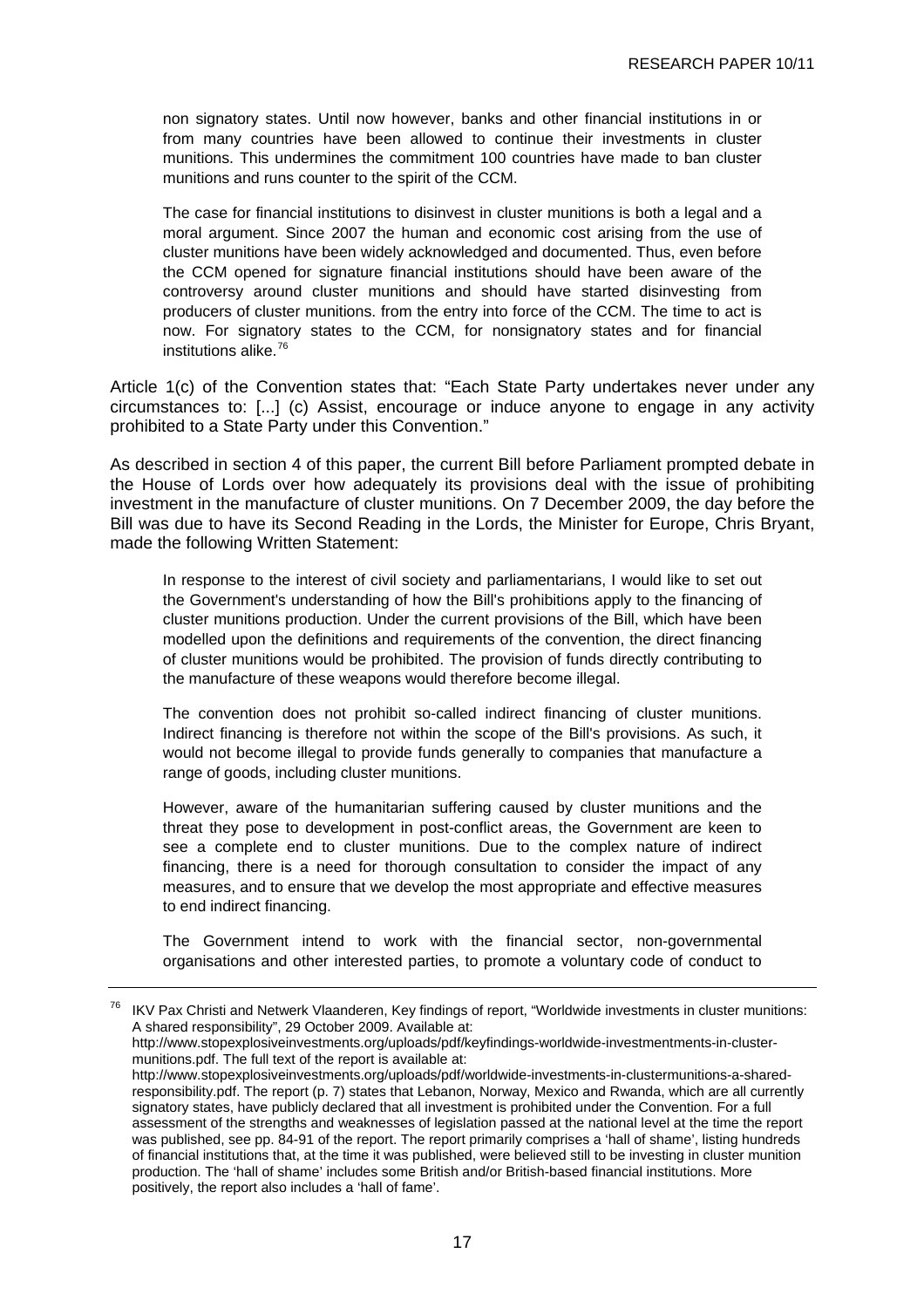<span id="page-22-0"></span>non signatory states. Until now however, banks and other financial institutions in or from many countries have been allowed to continue their investments in cluster munitions. This undermines the commitment 100 countries have made to ban cluster munitions and runs counter to the spirit of the CCM.

The case for financial institutions to disinvest in cluster munitions is both a legal and a moral argument. Since 2007 the human and economic cost arising from the use of cluster munitions have been widely acknowledged and documented. Thus, even before the CCM opened for signature financial institutions should have been aware of the controversy around cluster munitions and should have started disinvesting from producers of cluster munitions. from the entry into force of the CCM. The time to act is now. For signatory states to the CCM, for nonsignatory states and for financial institutions alike.<sup>[76](#page-22-0)</sup>

Article 1(c) of the Convention states that: "Each State Party undertakes never under any circumstances to: [...] (c) Assist, encourage or induce anyone to engage in any activity prohibited to a State Party under this Convention."

As described in section 4 of this paper, the current Bill before Parliament prompted debate in the House of Lords over how adequately its provisions deal with the issue of prohibiting investment in the manufacture of cluster munitions. On 7 December 2009, the day before the Bill was due to have its Second Reading in the Lords, the Minister for Europe, Chris Bryant, made the following Written Statement:

In response to the interest of civil society and parliamentarians, I would like to set out the Government's understanding of how the Bill's prohibitions apply to the financing of cluster munitions production. Under the current provisions of the Bill, which have been modelled upon the definitions and requirements of the convention, the direct financing of cluster munitions would be prohibited. The provision of funds directly contributing to the manufacture of these weapons would therefore become illegal.

The convention does not prohibit so-called indirect financing of cluster munitions. Indirect financing is therefore not within the scope of the Bill's provisions. As such, it would not become illegal to provide funds generally to companies that manufacture a range of goods, including cluster munitions.

However, aware of the humanitarian suffering caused by cluster munitions and the threat they pose to development in post-conflict areas, the Government are keen to see a complete end to cluster munitions. Due to the complex nature of indirect financing, there is a need for thorough consultation to consider the impact of any measures, and to ensure that we develop the most appropriate and effective measures to end indirect financing.

The Government intend to work with the financial sector, non-governmental organisations and other interested parties, to promote a voluntary code of conduct to

<sup>76</sup> IKV Pax Christi and Netwerk Vlaanderen, Key findings of report, "Worldwide investments in cluster munitions: A shared responsibility", 29 October 2009. Available at:

[http://www.stopexplosiveinvestments.org/uploads/pdf/keyfindings-worldwide-investmentments-in-cluster](http://www.stopexplosiveinvestments.org/uploads/pdf/keyfindings-worldwide-investmentments-in-cluster-munitions.pdf)[munitions.pdf.](http://www.stopexplosiveinvestments.org/uploads/pdf/keyfindings-worldwide-investmentments-in-cluster-munitions.pdf) The full text of the report is available at:

[http://www.stopexplosiveinvestments.org/uploads/pdf/worldwide-investments-in-clustermunitions-a-shared](http://www.stopexplosiveinvestments.org/uploads/pdf/worldwide-investments-in-clustermunitions-a-shared-responsibility.pdf)[responsibility.pdf](http://www.stopexplosiveinvestments.org/uploads/pdf/worldwide-investments-in-clustermunitions-a-shared-responsibility.pdf). The report (p. 7) states that Lebanon, Norway, Mexico and Rwanda, which are all currently signatory states, have publicly declared that all investment is prohibited under the Convention. For a full assessment of the strengths and weaknesses of legislation passed at the national level at the time the report was published, see pp. 84-91 of the report. The report primarily comprises a 'hall of shame', listing hundreds of financial institutions that, at the time it was published, were believed still to be investing in cluster munition production. The 'hall of shame' includes some British and/or British-based financial institutions. More positively, the report also includes a 'hall of fame'.